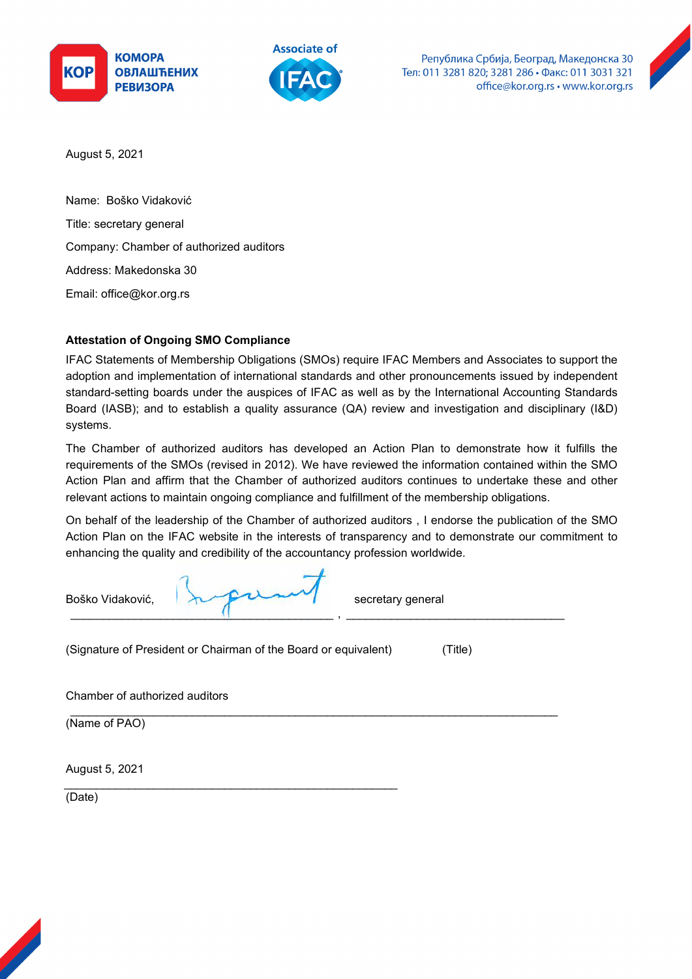





August 5, 2021

Name: Boško Vidaković Title: secretary general Company: Chamber of authorized auditors Address: Makedonska 30 Email: office@kor.org.rs

# **Attestation of Ongoing SMO Compliance**

IFAC Statements of Membership Obligations (SMOs) require IFAC Members and Associates to support the adoption and implementation of international standards and other pronouncements issued by independent standard-setting boards under the auspices of IFAC as well as by the International Accounting Standards Board (IASB); and to establish a quality assurance (QA) review and investigation and disciplinary (I&D) systems.

The Chamber of authorized auditors has developed an Action Plan to demonstrate how it fulfills the requirements of the SMOs (revised in 2012). We have reviewed the information contained within the SMO Action Plan and affirm that the Chamber of authorized auditors continues to undertake these and other relevant actions to maintain ongoing compliance and fulfillment of the membership obligations.

On behalf of the leadership of the Chamber of authorized auditors , I endorse the publication of the SMO Action Plan on the IFAC website in the interests of transparency and to demonstrate our commitment to enhancing the quality and credibility of the accountancy profession worldwide.

| Boško Vidaković, | $\lambda$ | secretary general |
|------------------|-----------|-------------------|
|                  |           |                   |

\_\_\_\_\_\_\_\_\_\_\_\_\_\_\_\_\_\_\_\_\_\_\_\_\_\_\_\_\_\_\_\_\_\_\_\_\_\_\_\_\_\_\_\_\_\_\_\_\_\_\_\_\_\_\_\_\_\_\_\_\_\_\_\_\_\_\_\_\_\_\_\_\_\_\_\_

(Signature of President or Chairman of the Board or equivalent) (Title)

\_\_\_\_\_\_\_\_\_\_\_\_\_\_\_\_\_\_\_\_\_\_\_\_\_\_\_\_\_\_\_\_\_\_\_\_\_\_\_\_\_\_\_\_\_\_\_\_\_\_\_\_

Chamber of authorized auditors

(Name of PAO)

August 5, 2021

(Date)

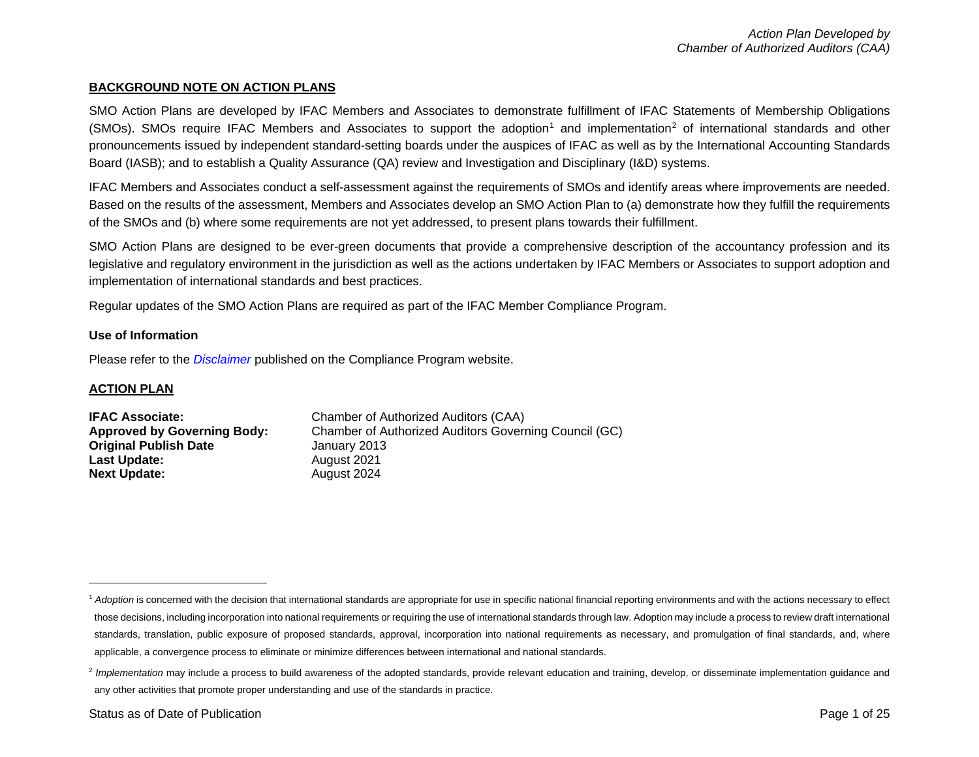#### <span id="page-1-1"></span><span id="page-1-0"></span>**BACKGROUND NOTE ON ACTION PLANS**

SMO Action Plans are developed by IFAC Members and Associates to demonstrate fulfillment of IFAC Statements of Membership Obligations (SMOs). SMOs require IFAC Members and Associates to support the adoption<sup>[1](#page-1-0)</sup> and implementation<sup>[2](#page-1-1)</sup> of international standards and other pronouncements issued by independent standard-setting boards under the auspices of IFAC as well as by the International Accounting Standards Board (IASB); and to establish a Quality Assurance (QA) review and Investigation and Disciplinary (I&D) systems.

IFAC Members and Associates conduct a self-assessment against the requirements of SMOs and identify areas where improvements are needed. Based on the results of the assessment, Members and Associates develop an SMO Action Plan to (a) demonstrate how they fulfill the requirements of the SMOs and (b) where some requirements are not yet addressed, to present plans towards their fulfillment.

SMO Action Plans are designed to be ever-green documents that provide a comprehensive description of the accountancy profession and its legislative and regulatory environment in the jurisdiction as well as the actions undertaken by IFAC Members or Associates to support adoption and implementation of international standards and best practices.

Regular updates of the SMO Action Plans are required as part of the IFAC Member Compliance Program.

#### **Use of Information**

Please refer to the *[Disclaimer](http://www.ifac.org/about-ifac/membership/members/disclaimer)* published on the Compliance Program website.

#### **ACTION PLAN**

| <b>IFAC Associate:</b>             | Chamber of Authorized Auditors (CAA)                  |
|------------------------------------|-------------------------------------------------------|
| <b>Approved by Governing Body:</b> | Chamber of Authorized Auditors Governing Council (GC) |
| <b>Original Publish Date</b>       | January 2013                                          |
| Last Update:                       | August 2021                                           |
| <b>Next Update:</b>                | August 2024                                           |

<sup>&</sup>lt;sup>1</sup> Adoption is concerned with the decision that international standards are appropriate for use in specific national financial reporting environments and with the actions necessary to effect those decisions, including incorporation into national requirements or requiring the use of international standards through law. Adoption may include a process to review draft international standards, translation, public exposure of proposed standards, approval, incorporation into national requirements as necessary, and promulgation of final standards, and, where applicable, a convergence process to eliminate or minimize differences between international and national standards.

<sup>&</sup>lt;sup>2</sup> Implementation may include a process to build awareness of the adopted standards, provide relevant education and training, develop, or disseminate implementation guidance and any other activities that promote proper understanding and use of the standards in practice.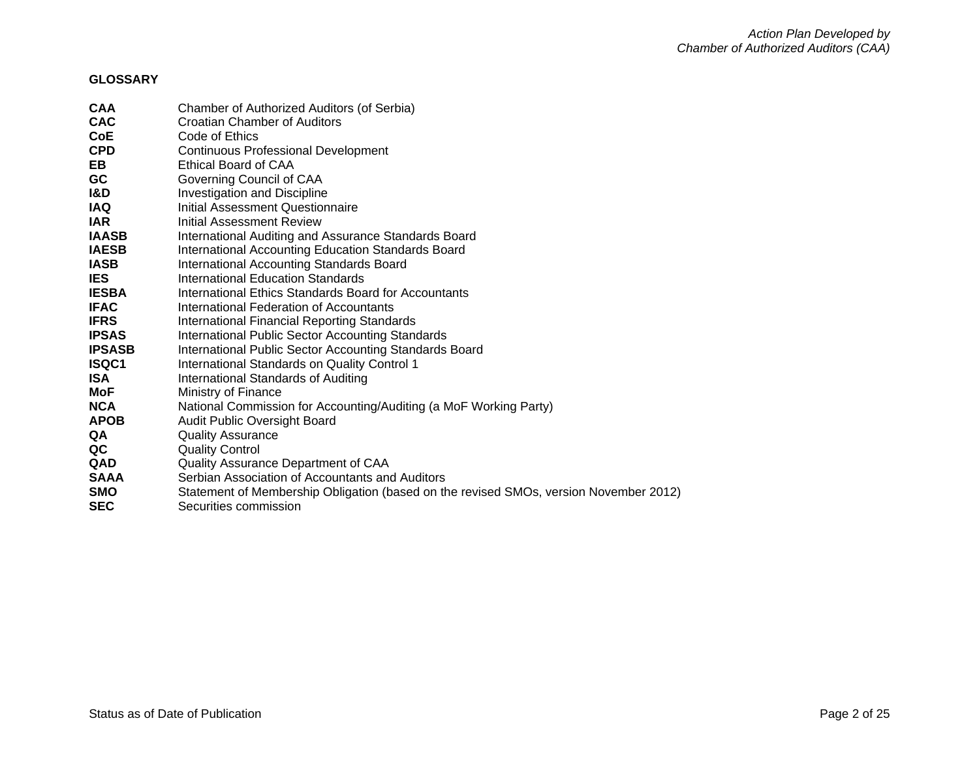### **GLOSSARY**

| <b>CAA</b>    | Chamber of Authorized Auditors (of Serbia)                                            |
|---------------|---------------------------------------------------------------------------------------|
| <b>CAC</b>    | Croatian Chamber of Auditors                                                          |
| <b>CoE</b>    | Code of Ethics                                                                        |
| <b>CPD</b>    | <b>Continuous Professional Development</b>                                            |
| EB.           | Ethical Board of CAA                                                                  |
| <b>GC</b>     | Governing Council of CAA                                                              |
| 1&D           | <b>Investigation and Discipline</b>                                                   |
| <b>IAQ</b>    | Initial Assessment Questionnaire                                                      |
| <b>IAR</b>    | Initial Assessment Review                                                             |
| <b>IAASB</b>  | International Auditing and Assurance Standards Board                                  |
| <b>IAESB</b>  | International Accounting Education Standards Board                                    |
| <b>IASB</b>   | International Accounting Standards Board                                              |
| <b>IES</b>    | International Education Standards                                                     |
| <b>IESBA</b>  | International Ethics Standards Board for Accountants                                  |
| <b>IFAC</b>   | International Federation of Accountants                                               |
| <b>IFRS</b>   | International Financial Reporting Standards                                           |
| <b>IPSAS</b>  | <b>International Public Sector Accounting Standards</b>                               |
| <b>IPSASB</b> | International Public Sector Accounting Standards Board                                |
| ISQC1         | International Standards on Quality Control 1                                          |
| <b>ISA</b>    | International Standards of Auditing                                                   |
| MoF           | Ministry of Finance                                                                   |
| <b>NCA</b>    | National Commission for Accounting/Auditing (a MoF Working Party)                     |
| <b>APOB</b>   | Audit Public Oversight Board                                                          |
| QA            | <b>Quality Assurance</b>                                                              |
| QC            | <b>Quality Control</b>                                                                |
| <b>QAD</b>    | Quality Assurance Department of CAA                                                   |
| <b>SAAA</b>   | Serbian Association of Accountants and Auditors                                       |
| <b>SMO</b>    | Statement of Membership Obligation (based on the revised SMOs, version November 2012) |
| <b>SEC</b>    | Securities commission                                                                 |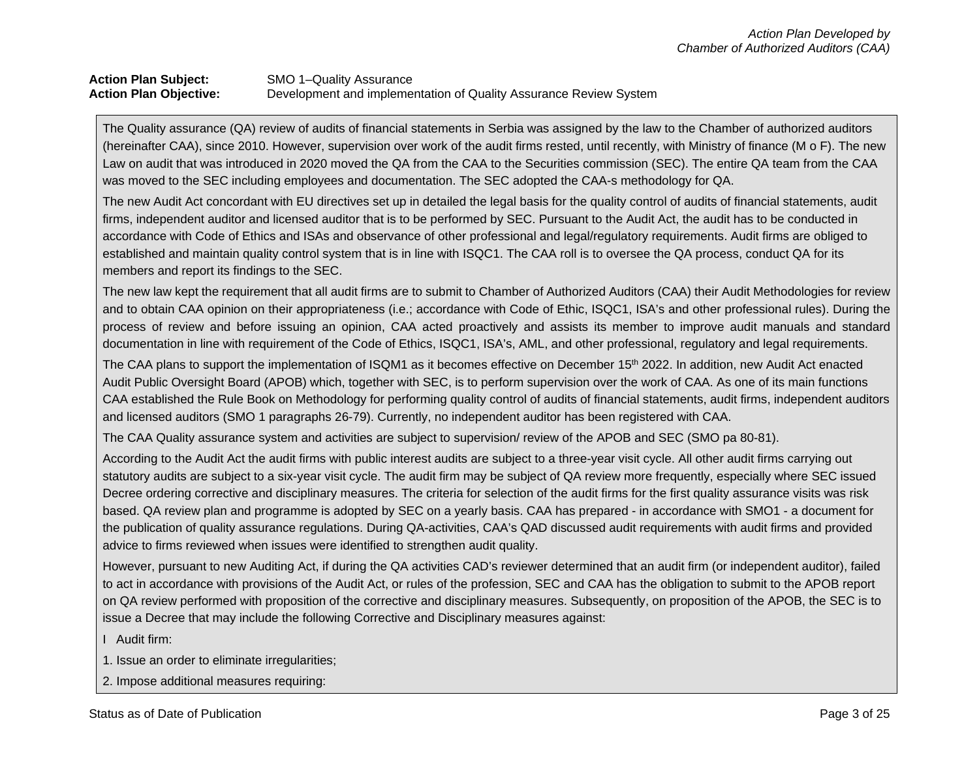# **Action Plan Subject:** SMO 1–Quality Assurance<br> **Action Plan Objective:** Development and impleme Development and implementation of Quality Assurance Review System

The Quality assurance (QA) review of audits of financial statements in Serbia was assigned by the law to the Chamber of authorized auditors (hereinafter CAA), since 2010. However, supervision over work of the audit firms rested, until recently, with Ministry of finance (M o F). The new Law on audit that was introduced in 2020 moved the QA from the CAA to the Securities commission (SEC). The entire QA team from the CAA was moved to the SEC including employees and documentation. The SEC adopted the CAA-s methodology for QA.

The new Audit Act concordant with EU directives set up in detailed the legal basis for the quality control of audits of financial statements, audit firms, independent auditor and licensed auditor that is to be performed by SEC. Pursuant to the Audit Act, the audit has to be conducted in accordance with Code of Ethics and ISAs and observance of other professional and legal/regulatory requirements. Audit firms are obliged to established and maintain quality control system that is in line with ISQC1. The CAA roll is to oversee the QA process, conduct QA for its members and report its findings to the SEC.

The new law kept the requirement that all audit firms are to submit to Chamber of Authorized Auditors (CAA) their Audit Methodologies for review and to obtain CAA opinion on their appropriateness (i.e.; accordance with Code of Ethic, ISQC1, ISA's and other professional rules). During the process of review and before issuing an opinion, CAA acted proactively and assists its member to improve audit manuals and standard documentation in line with requirement of the Code of Ethics, ISQC1, ISA's, AML, and other professional, regulatory and legal requirements.

The CAA plans to support the implementation of ISQM1 as it becomes effective on December 15<sup>th</sup> 2022. In addition, new Audit Act enacted Audit Public Oversight Board (APOB) which, together with SEC, is to perform supervision over the work of CAA. As one of its main functions CAA established the Rule Book on Methodology for performing quality control of audits of financial statements, audit firms, independent auditors and licensed auditors (SMO 1 paragraphs 26-79). Currently, no independent auditor has been registered with CAA.

The CAA Quality assurance system and activities are subject to supervision/ review of the APOB and SEC (SMO pa 80-81).

According to the Audit Act the audit firms with public interest audits are subject to a three-year visit cycle. All other audit firms carrying out statutory audits are subject to a six-year visit cycle. The audit firm may be subject of QA review more frequently, especially where SEC issued Decree ordering corrective and disciplinary measures. The criteria for selection of the audit firms for the first quality assurance visits was risk based. QA review plan and programme is adopted by SEC on a yearly basis. CAA has prepared - in accordance with SMO1 - a document for the publication of quality assurance regulations. During QA-activities, CAA's QAD discussed audit requirements with audit firms and provided advice to firms reviewed when issues were identified to strengthen audit quality.

However, pursuant to new Auditing Act, if during the QA activities CAD's reviewer determined that an audit firm (or independent auditor), failed to act in accordance with provisions of the Audit Act, or rules of the profession, SEC and CAA has the obligation to submit to the APOB report on QA review performed with proposition of the corrective and disciplinary measures. Subsequently, on proposition of the APOB, the SEC is to issue a Decree that may include the following Corrective and Disciplinary measures against:

I Audit firm:

1. Issue an order to eliminate irregularities;

2. Impose additional measures requiring: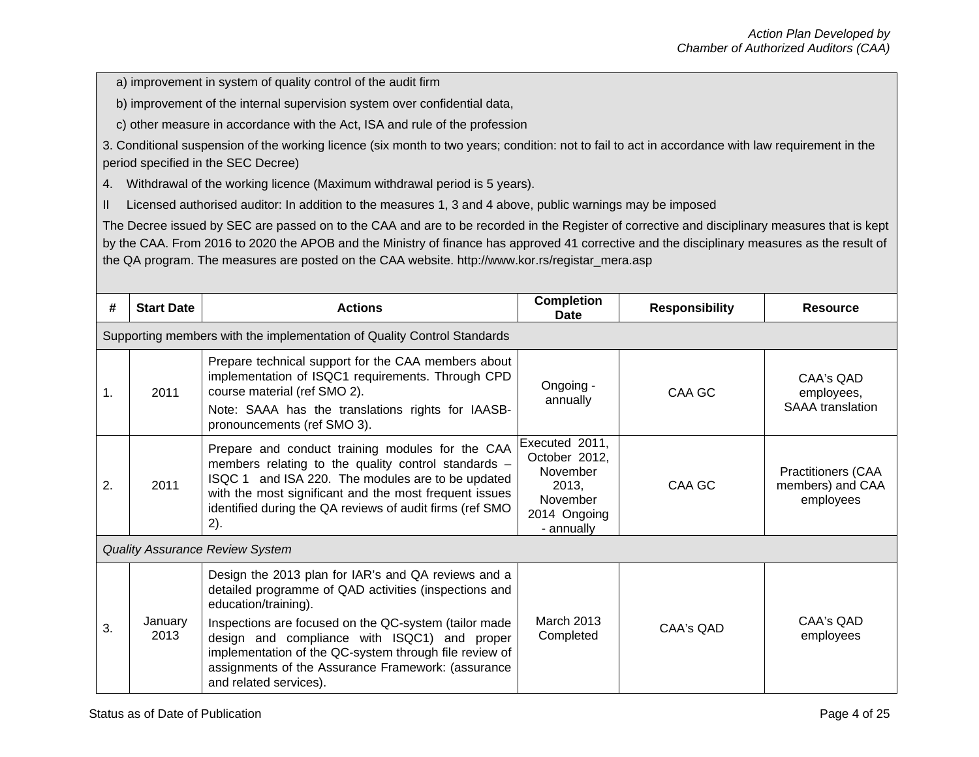a) improvement in system of quality control of the audit firm

b) improvement of the internal supervision system over confidential data,

c) other measure in accordance with the Act, ISA and rule of the profession

3. Conditional suspension of the working licence (six month to two years; condition: not to fail to act in accordance with law requirement in the period specified in the SEC Decree)

4. Withdrawal of the working licence (Maximum withdrawal period is 5 years).

II Licensed authorised auditor: In addition to the measures 1, 3 and 4 above, public warnings may be imposed

The Decree issued by SEC are passed on to the CAA and are to be recorded in the Register of corrective and disciplinary measures that is kept by the CAA. From 2016 to 2020 the APOB and the Ministry of finance has approved 41 corrective and the disciplinary measures as the result of the QA program. The measures are posted on the CAA website. http://www.kor.rs/registar\_mera.asp

| #  | <b>Start Date</b> | <b>Actions</b>                                                                                                                                                                                                                                                                                                                                                                          | <b>Completion</b><br>Date                                                                      | <b>Responsibility</b> | <b>Resource</b>                                            |
|----|-------------------|-----------------------------------------------------------------------------------------------------------------------------------------------------------------------------------------------------------------------------------------------------------------------------------------------------------------------------------------------------------------------------------------|------------------------------------------------------------------------------------------------|-----------------------|------------------------------------------------------------|
|    |                   | Supporting members with the implementation of Quality Control Standards                                                                                                                                                                                                                                                                                                                 |                                                                                                |                       |                                                            |
| 1. | 2011              | Prepare technical support for the CAA members about<br>implementation of ISQC1 requirements. Through CPD<br>course material (ref SMO 2).<br>Note: SAAA has the translations rights for IAASB-<br>pronouncements (ref SMO 3).                                                                                                                                                            | Ongoing -<br>annually                                                                          | CAA GC                | CAA's QAD<br>employees,<br><b>SAAA</b> translation         |
| 2. | 2011              | Prepare and conduct training modules for the CAA<br>members relating to the quality control standards -<br>ISQC 1 and ISA 220. The modules are to be updated<br>with the most significant and the most frequent issues<br>identified during the QA reviews of audit firms (ref SMO<br>2).                                                                                               | Executed 2011,<br>October 2012,<br>November<br>2013.<br>November<br>2014 Ongoing<br>- annually | CAA GC                | <b>Practitioners (CAA</b><br>members) and CAA<br>employees |
|    |                   | <b>Quality Assurance Review System</b>                                                                                                                                                                                                                                                                                                                                                  |                                                                                                |                       |                                                            |
| 3. | January<br>2013   | Design the 2013 plan for IAR's and QA reviews and a<br>detailed programme of QAD activities (inspections and<br>education/training).<br>Inspections are focused on the QC-system (tailor made<br>design and compliance with ISQC1) and proper<br>implementation of the QC-system through file review of<br>assignments of the Assurance Framework: (assurance<br>and related services). | <b>March 2013</b><br>Completed                                                                 | CAA's QAD             | CAA's QAD<br>employees                                     |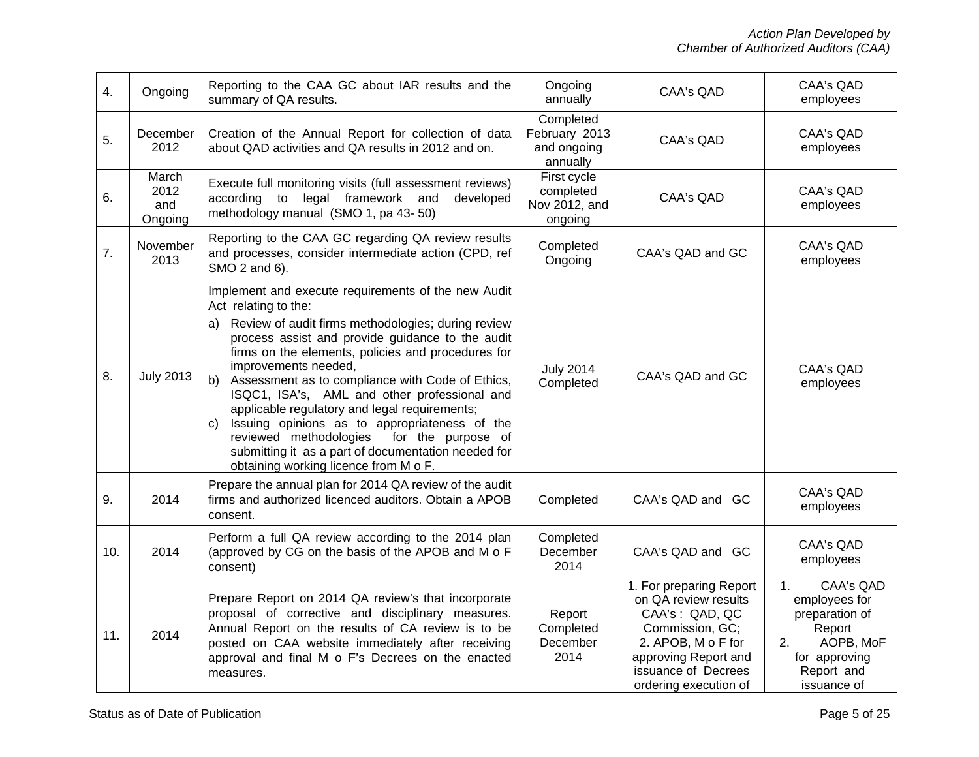| 4.  | Ongoing                         | Reporting to the CAA GC about IAR results and the<br>summary of QA results.                                                                                                                                                                                                                                                                                                                                                                                                                                                                                                                                                                 | Ongoing<br>annually                                   | CAA's QAD                                                                                                                                                                          | <b>CAA's QAD</b><br>employees                                                                                                        |
|-----|---------------------------------|---------------------------------------------------------------------------------------------------------------------------------------------------------------------------------------------------------------------------------------------------------------------------------------------------------------------------------------------------------------------------------------------------------------------------------------------------------------------------------------------------------------------------------------------------------------------------------------------------------------------------------------------|-------------------------------------------------------|------------------------------------------------------------------------------------------------------------------------------------------------------------------------------------|--------------------------------------------------------------------------------------------------------------------------------------|
| 5.  | December<br>2012                | Creation of the Annual Report for collection of data<br>about QAD activities and QA results in 2012 and on.                                                                                                                                                                                                                                                                                                                                                                                                                                                                                                                                 | Completed<br>February 2013<br>and ongoing<br>annually | <b>CAA's QAD</b>                                                                                                                                                                   | CAA's QAD<br>employees                                                                                                               |
| 6.  | March<br>2012<br>and<br>Ongoing | Execute full monitoring visits (full assessment reviews)<br>to legal framework and<br>according<br>developed<br>methodology manual (SMO 1, pa 43-50)                                                                                                                                                                                                                                                                                                                                                                                                                                                                                        | First cycle<br>completed<br>Nov 2012, and<br>ongoing  | <b>CAA's QAD</b>                                                                                                                                                                   | <b>CAA's QAD</b><br>employees                                                                                                        |
| 7.  | November<br>2013                | Reporting to the CAA GC regarding QA review results<br>and processes, consider intermediate action (CPD, ref<br>SMO 2 and 6).                                                                                                                                                                                                                                                                                                                                                                                                                                                                                                               | Completed<br>Ongoing                                  | CAA's QAD and GC                                                                                                                                                                   | CAA's QAD<br>employees                                                                                                               |
| 8.  | <b>July 2013</b>                | Implement and execute requirements of the new Audit<br>Act relating to the:<br>Review of audit firms methodologies; during review<br>a)<br>process assist and provide guidance to the audit<br>firms on the elements, policies and procedures for<br>improvements needed,<br>Assessment as to compliance with Code of Ethics,<br>b)<br>ISQC1, ISA's, AML and other professional and<br>applicable regulatory and legal requirements;<br>Issuing opinions as to appropriateness of the<br>C)<br>for the purpose of<br>reviewed methodologies<br>submitting it as a part of documentation needed for<br>obtaining working licence from M o F. | <b>July 2014</b><br>Completed                         | CAA's QAD and GC                                                                                                                                                                   | CAA's QAD<br>employees                                                                                                               |
| 9.  | 2014                            | Prepare the annual plan for 2014 QA review of the audit<br>firms and authorized licenced auditors. Obtain a APOB<br>consent.                                                                                                                                                                                                                                                                                                                                                                                                                                                                                                                | Completed                                             | CAA's QAD and GC                                                                                                                                                                   | CAA's QAD<br>employees                                                                                                               |
| 10. | 2014                            | Perform a full QA review according to the 2014 plan<br>(approved by CG on the basis of the APOB and M o F<br>consent)                                                                                                                                                                                                                                                                                                                                                                                                                                                                                                                       | Completed<br>December<br>2014                         | CAA's QAD and GC                                                                                                                                                                   | CAA's QAD<br>employees                                                                                                               |
| 11. | 2014                            | Prepare Report on 2014 QA review's that incorporate<br>proposal of corrective and disciplinary measures.<br>Annual Report on the results of CA review is to be<br>posted on CAA website immediately after receiving<br>approval and final M o F's Decrees on the enacted<br>measures.                                                                                                                                                                                                                                                                                                                                                       | Report<br>Completed<br>December<br>2014               | 1. For preparing Report<br>on QA review results<br>CAA's: QAD, QC<br>Commission, GC;<br>2. APOB, M o F for<br>approving Report and<br>issuance of Decrees<br>ordering execution of | <b>CAA's QAD</b><br>1.<br>employees for<br>preparation of<br>Report<br>AOPB, MoF<br>2.<br>for approving<br>Report and<br>issuance of |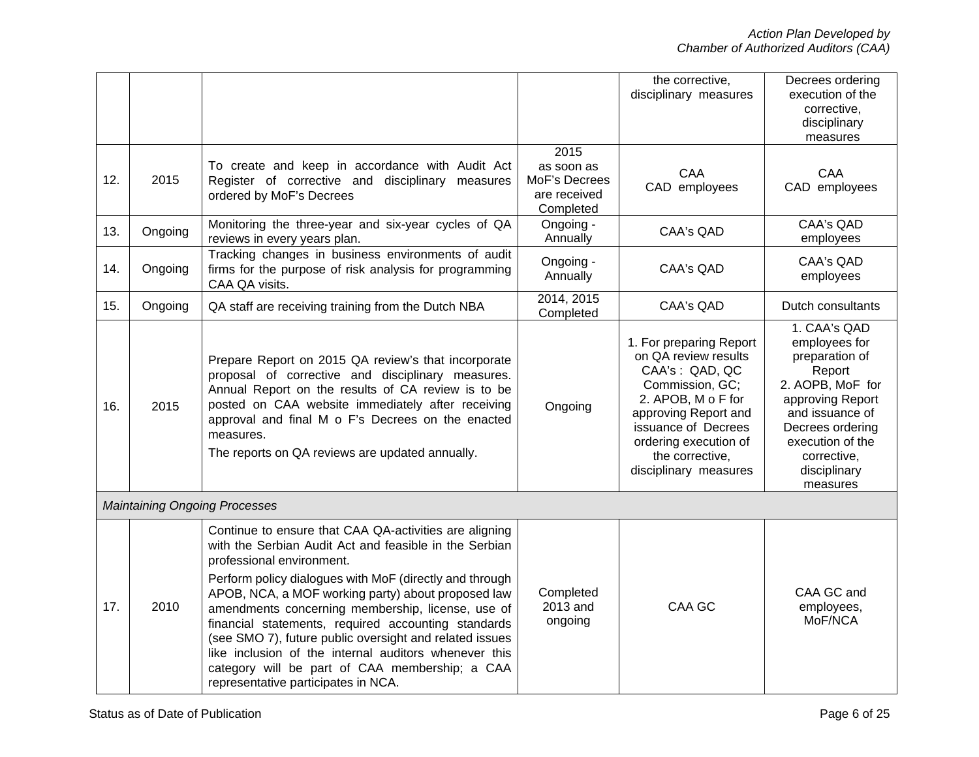|     |         |                                                                                                                                                                                                                                                                                                                                                                                                                                                                                                                                                                                         |                                                                  | the corrective,<br>disciplinary measures                                                                                                                                                                                       | Decrees ordering<br>execution of the<br>corrective,<br>disciplinary<br>measures                                                                                                                         |
|-----|---------|-----------------------------------------------------------------------------------------------------------------------------------------------------------------------------------------------------------------------------------------------------------------------------------------------------------------------------------------------------------------------------------------------------------------------------------------------------------------------------------------------------------------------------------------------------------------------------------------|------------------------------------------------------------------|--------------------------------------------------------------------------------------------------------------------------------------------------------------------------------------------------------------------------------|---------------------------------------------------------------------------------------------------------------------------------------------------------------------------------------------------------|
| 12. | 2015    | To create and keep in accordance with Audit Act<br>Register of corrective and disciplinary measures<br>ordered by MoF's Decrees                                                                                                                                                                                                                                                                                                                                                                                                                                                         | 2015<br>as soon as<br>MoF's Decrees<br>are received<br>Completed | CAA<br>CAD employees                                                                                                                                                                                                           | CAA<br>CAD employees                                                                                                                                                                                    |
| 13. | Ongoing | Monitoring the three-year and six-year cycles of QA<br>reviews in every years plan.                                                                                                                                                                                                                                                                                                                                                                                                                                                                                                     | Ongoing -<br>Annually                                            | <b>CAA's QAD</b>                                                                                                                                                                                                               | <b>CAA's QAD</b><br>employees                                                                                                                                                                           |
| 14. | Ongoing | Tracking changes in business environments of audit<br>firms for the purpose of risk analysis for programming<br>CAA QA visits.                                                                                                                                                                                                                                                                                                                                                                                                                                                          | Ongoing -<br>Annually                                            | CAA's QAD                                                                                                                                                                                                                      | CAA's QAD<br>employees                                                                                                                                                                                  |
| 15. | Ongoing | QA staff are receiving training from the Dutch NBA                                                                                                                                                                                                                                                                                                                                                                                                                                                                                                                                      | 2014, 2015<br>Completed                                          | <b>CAA's QAD</b>                                                                                                                                                                                                               | Dutch consultants                                                                                                                                                                                       |
| 16. | 2015    | Prepare Report on 2015 QA review's that incorporate<br>proposal of corrective and disciplinary measures.<br>Annual Report on the results of CA review is to be<br>posted on CAA website immediately after receiving<br>approval and final M o F's Decrees on the enacted<br>measures.<br>The reports on QA reviews are updated annually.                                                                                                                                                                                                                                                | Ongoing                                                          | 1. For preparing Report<br>on QA review results<br>CAA's: QAD, QC<br>Commission, GC;<br>2. APOB, M o F for<br>approving Report and<br>issuance of Decrees<br>ordering execution of<br>the corrective,<br>disciplinary measures | 1. CAA's QAD<br>employees for<br>preparation of<br>Report<br>2. AOPB, MoF for<br>approving Report<br>and issuance of<br>Decrees ordering<br>execution of the<br>corrective,<br>disciplinary<br>measures |
|     |         | <b>Maintaining Ongoing Processes</b>                                                                                                                                                                                                                                                                                                                                                                                                                                                                                                                                                    |                                                                  |                                                                                                                                                                                                                                |                                                                                                                                                                                                         |
| 17. | 2010    | Continue to ensure that CAA QA-activities are aligning<br>with the Serbian Audit Act and feasible in the Serbian<br>professional environment.<br>Perform policy dialogues with MoF (directly and through<br>APOB, NCA, a MOF working party) about proposed law<br>amendments concerning membership, license, use of<br>financial statements, required accounting standards<br>(see SMO 7), future public oversight and related issues<br>like inclusion of the internal auditors whenever this<br>category will be part of CAA membership; a CAA<br>representative participates in NCA. | Completed<br>2013 and<br>ongoing                                 | CAA GC                                                                                                                                                                                                                         | CAA GC and<br>employees,<br>MoF/NCA                                                                                                                                                                     |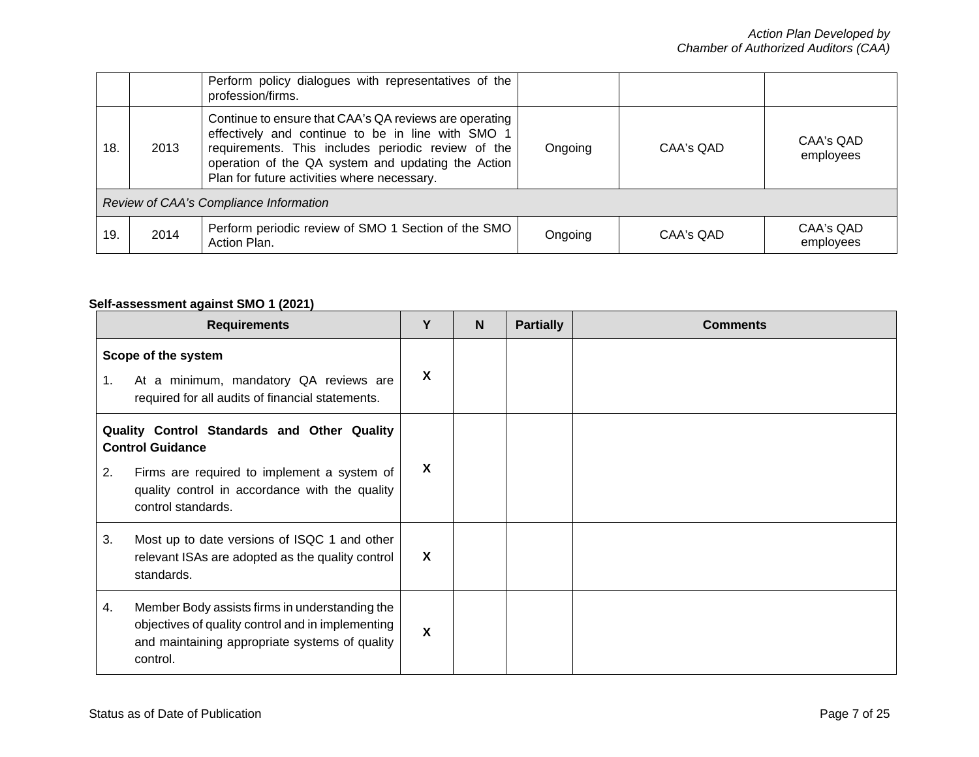|                                        |      | Perform policy dialogues with representatives of the<br>profession/firms.                                                                                                                                                                                              |         |           |                        |
|----------------------------------------|------|------------------------------------------------------------------------------------------------------------------------------------------------------------------------------------------------------------------------------------------------------------------------|---------|-----------|------------------------|
| 18.                                    | 2013 | Continue to ensure that CAA's QA reviews are operating<br>effectively and continue to be in line with SMO 1<br>requirements. This includes periodic review of the<br>operation of the QA system and updating the Action<br>Plan for future activities where necessary. | Ongoing | CAA's QAD | CAA's QAD<br>employees |
| Review of CAA's Compliance Information |      |                                                                                                                                                                                                                                                                        |         |           |                        |
| 19.                                    | 2014 | Perform periodic review of SMO 1 Section of the SMO<br>Action Plan.                                                                                                                                                                                                    | Ongoing | CAA's QAD | CAA's QAD<br>employees |

# **Self-assessment against SMO 1 (2021)**

|                                                                                                                                                                                                     | <b>Requirements</b>                                                                                                                                               | Υ | <b>N</b> | <b>Partially</b> | <b>Comments</b> |
|-----------------------------------------------------------------------------------------------------------------------------------------------------------------------------------------------------|-------------------------------------------------------------------------------------------------------------------------------------------------------------------|---|----------|------------------|-----------------|
| Scope of the system<br>At a minimum, mandatory QA reviews are<br>1.<br>required for all audits of financial statements.                                                                             |                                                                                                                                                                   | X |          |                  |                 |
| Quality Control Standards and Other Quality<br><b>Control Guidance</b><br>Firms are required to implement a system of<br>2.<br>quality control in accordance with the quality<br>control standards. |                                                                                                                                                                   | X |          |                  |                 |
| 3.                                                                                                                                                                                                  | Most up to date versions of ISQC 1 and other<br>relevant ISAs are adopted as the quality control<br>standards.                                                    | X |          |                  |                 |
| 4.                                                                                                                                                                                                  | Member Body assists firms in understanding the<br>objectives of quality control and in implementing<br>and maintaining appropriate systems of quality<br>control. | X |          |                  |                 |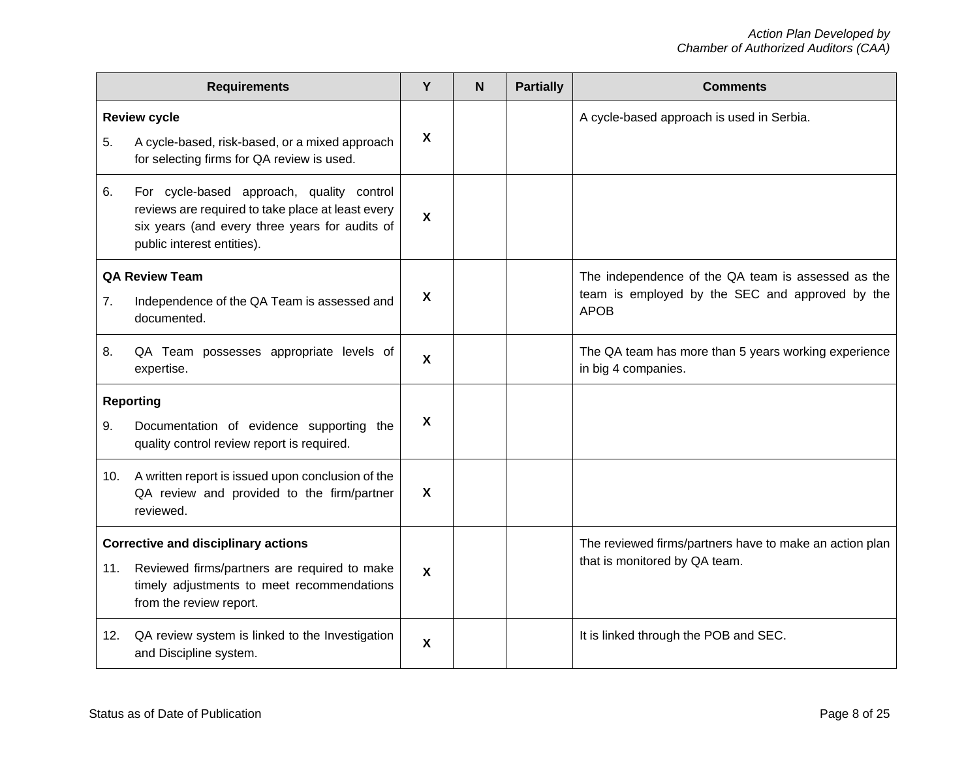| <b>Requirements</b>                        |                                                                                                                                                                                |                           | N | <b>Partially</b> | <b>Comments</b>                                                             |
|--------------------------------------------|--------------------------------------------------------------------------------------------------------------------------------------------------------------------------------|---------------------------|---|------------------|-----------------------------------------------------------------------------|
|                                            | <b>Review cycle</b>                                                                                                                                                            |                           |   |                  | A cycle-based approach is used in Serbia.                                   |
| 5.                                         | A cycle-based, risk-based, or a mixed approach<br>for selecting firms for QA review is used.                                                                                   | $\boldsymbol{\mathsf{X}}$ |   |                  |                                                                             |
| 6.                                         | For cycle-based approach, quality control<br>reviews are required to take place at least every<br>six years (and every three years for audits of<br>public interest entities). | $\boldsymbol{\mathsf{X}}$ |   |                  |                                                                             |
|                                            | <b>QA Review Team</b>                                                                                                                                                          |                           |   |                  | The independence of the QA team is assessed as the                          |
| 7.                                         | Independence of the QA Team is assessed and<br>documented.                                                                                                                     | $\boldsymbol{\mathsf{X}}$ |   |                  | team is employed by the SEC and approved by the<br><b>APOB</b>              |
| 8.                                         | QA Team possesses appropriate levels of<br>expertise.                                                                                                                          | $\boldsymbol{\mathsf{X}}$ |   |                  | The QA team has more than 5 years working experience<br>in big 4 companies. |
|                                            | <b>Reporting</b>                                                                                                                                                               |                           |   |                  |                                                                             |
| 9.                                         | Documentation of evidence supporting the<br>quality control review report is required.                                                                                         | $\boldsymbol{\mathsf{X}}$ |   |                  |                                                                             |
|                                            | 10. A written report is issued upon conclusion of the<br>QA review and provided to the firm/partner<br>reviewed.                                                               | $\boldsymbol{\mathsf{X}}$ |   |                  |                                                                             |
| <b>Corrective and disciplinary actions</b> |                                                                                                                                                                                |                           |   |                  | The reviewed firms/partners have to make an action plan                     |
|                                            | 11. Reviewed firms/partners are required to make<br>timely adjustments to meet recommendations<br>from the review report.                                                      | $\boldsymbol{\mathsf{X}}$ |   |                  | that is monitored by QA team.                                               |
| 12.                                        | QA review system is linked to the Investigation<br>and Discipline system.                                                                                                      | $\boldsymbol{\mathsf{X}}$ |   |                  | It is linked through the POB and SEC.                                       |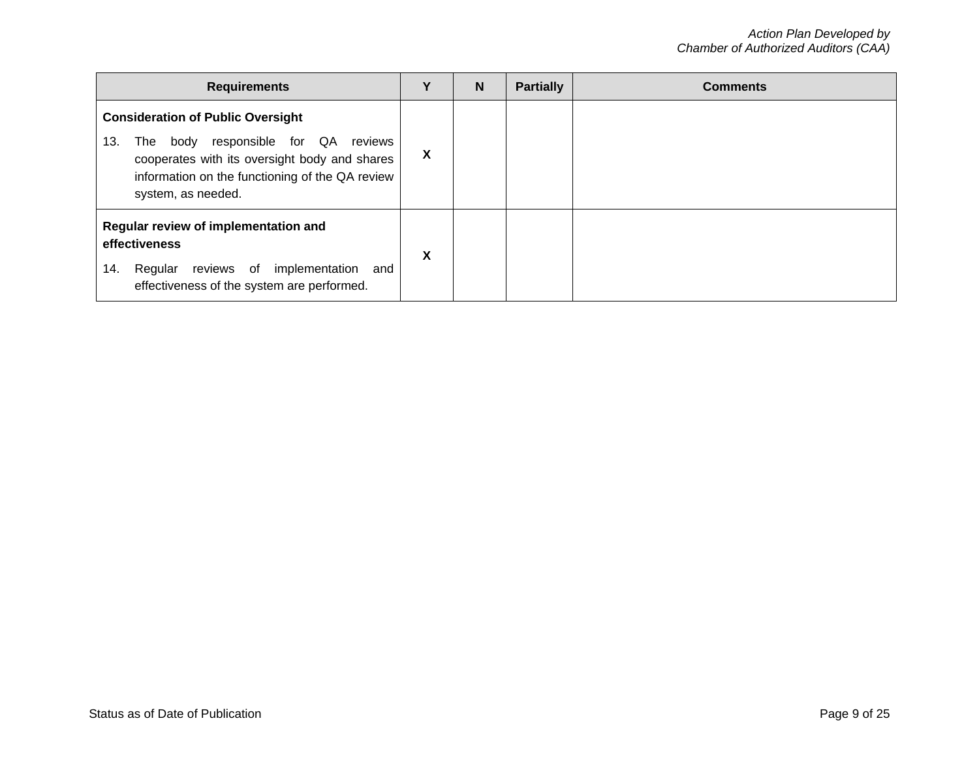| <b>Requirements</b>                                                                                                                                                                                                    | v | N | <b>Partially</b> | <b>Comments</b> |
|------------------------------------------------------------------------------------------------------------------------------------------------------------------------------------------------------------------------|---|---|------------------|-----------------|
| <b>Consideration of Public Oversight</b><br>body responsible for QA<br>13.<br>reviews<br>The<br>cooperates with its oversight body and shares<br>information on the functioning of the QA review<br>system, as needed. | X |   |                  |                 |
| Regular review of implementation and<br>effectiveness<br>Regular reviews of implementation<br>14.<br>and<br>effectiveness of the system are performed.                                                                 |   |   |                  |                 |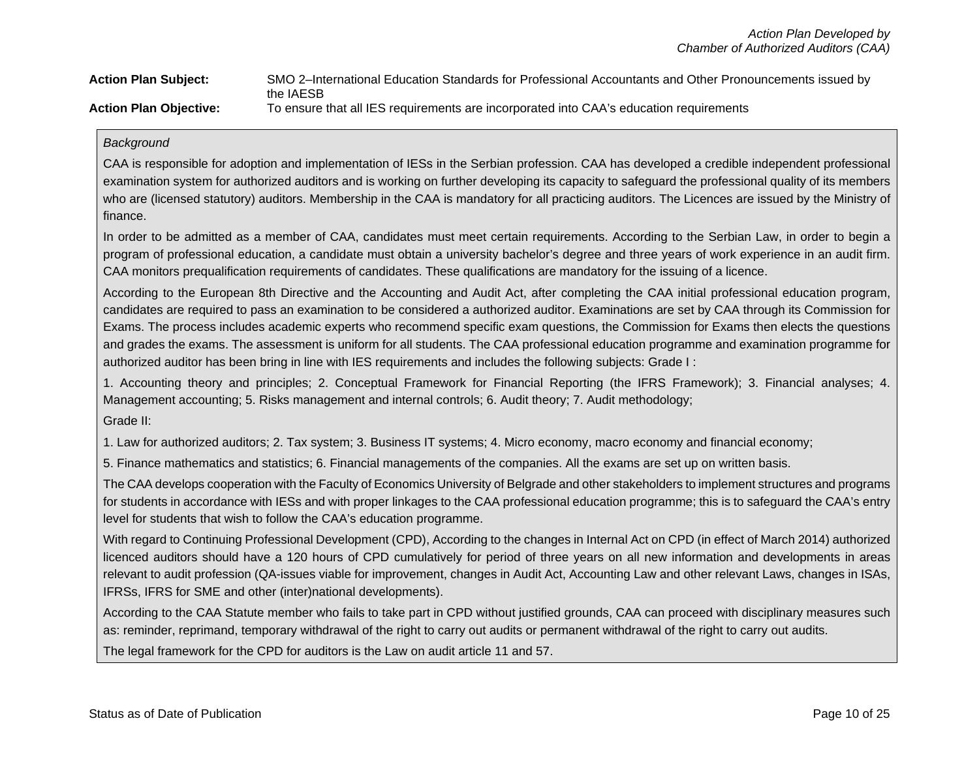| <b>Action Plan Subject:</b>   | SMO 2-International Education Standards for Professional Accountants and Other Pronouncements issued by |
|-------------------------------|---------------------------------------------------------------------------------------------------------|
|                               | the IAESB                                                                                               |
| <b>Action Plan Objective:</b> | To ensure that all IES requirements are incorporated into CAA's education requirements                  |

### *Background*

CAA is responsible for adoption and implementation of IESs in the Serbian profession. CAA has developed a credible independent professional examination system for authorized auditors and is working on further developing its capacity to safeguard the professional quality of its members who are (licensed statutory) auditors. Membership in the CAA is mandatory for all practicing auditors. The Licences are issued by the Ministry of finance.

In order to be admitted as a member of CAA, candidates must meet certain requirements. According to the Serbian Law, in order to begin a program of professional education, a candidate must obtain a university bachelor's degree and three years of work experience in an audit firm. CAA monitors prequalification requirements of candidates. These qualifications are mandatory for the issuing of a licence.

According to the European 8th Directive and the Accounting and Audit Act, after completing the CAA initial professional education program, candidates are required to pass an examination to be considered a authorized auditor. Examinations are set by CAA through its Commission for Exams. The process includes academic experts who recommend specific exam questions, the Commission for Exams then elects the questions and grades the exams. The assessment is uniform for all students. The CAA professional education programme and examination programme for authorized auditor has been bring in line with IES requirements and includes the following subjects: Grade I :

1. Accounting theory and principles; 2. Conceptual Framework for Financial Reporting (the IFRS Framework); 3. Financial analyses; 4. Management accounting; 5. Risks management and internal controls; 6. Audit theory; 7. Audit methodology;

Grade II:

1. Law for authorized auditors; 2. Tax system; 3. Business IT systems; 4. Micro economy, macro economy and financial economy;

5. Finance mathematics and statistics; 6. Financial managements of the companies. All the exams are set up on written basis.

The CAA develops cooperation with the Faculty of Economics University of Belgrade and other stakeholders to implement structures and programs for students in accordance with IESs and with proper linkages to the CAA professional education programme; this is to safeguard the CAA's entry level for students that wish to follow the CAA's education programme.

With regard to Continuing Professional Development (CPD), According to the changes in Internal Act on CPD (in effect of March 2014) authorized licenced auditors should have a 120 hours of CPD cumulatively for period of three years on all new information and developments in areas relevant to audit profession (QA-issues viable for improvement, changes in Audit Act, Accounting Law and other relevant Laws, changes in ISAs, IFRSs, IFRS for SME and other (inter)national developments).

According to the CAA Statute member who fails to take part in CPD without justified grounds, CAA can proceed with disciplinary measures such as: reminder, reprimand, temporary withdrawal of the right to carry out audits or permanent withdrawal of the right to carry out audits.

The legal framework for the CPD for auditors is the Law on audit article 11 and 57.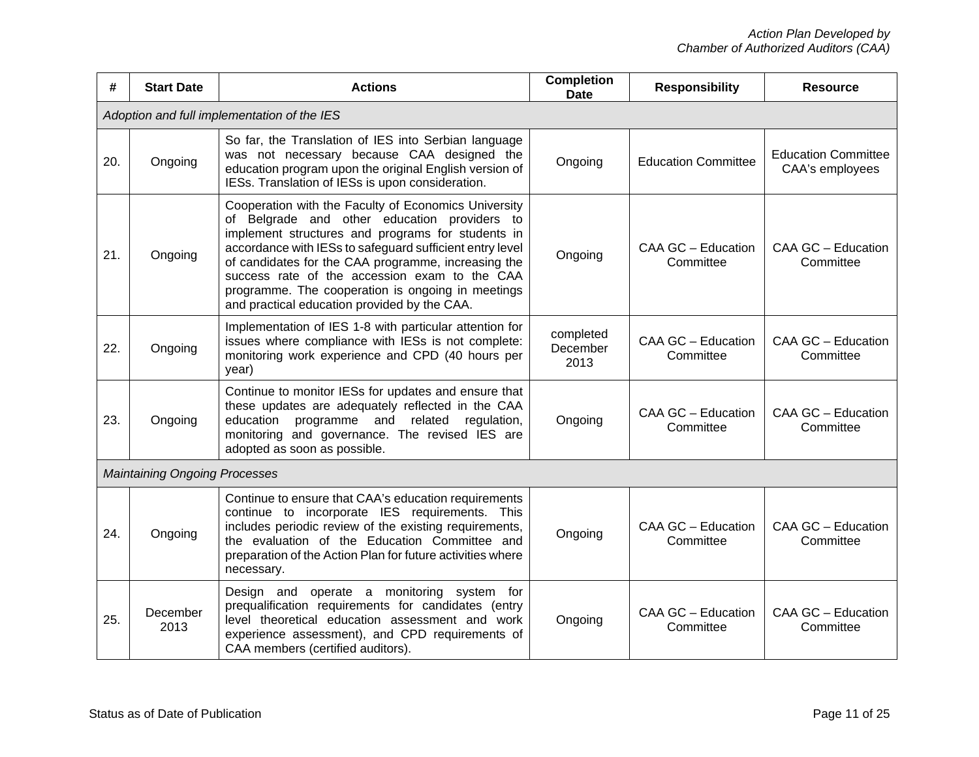| #   | <b>Start Date</b>                    | <b>Actions</b>                                                                                                                                                                                                                                                                                                                                                                                                                     | <b>Completion</b><br><b>Date</b> | <b>Responsibility</b>           | <b>Resource</b>                               |
|-----|--------------------------------------|------------------------------------------------------------------------------------------------------------------------------------------------------------------------------------------------------------------------------------------------------------------------------------------------------------------------------------------------------------------------------------------------------------------------------------|----------------------------------|---------------------------------|-----------------------------------------------|
|     |                                      | Adoption and full implementation of the IES                                                                                                                                                                                                                                                                                                                                                                                        |                                  |                                 |                                               |
| 20. | Ongoing                              | So far, the Translation of IES into Serbian language<br>was not necessary because CAA designed the<br>education program upon the original English version of<br>IESs. Translation of IESs is upon consideration.                                                                                                                                                                                                                   | Ongoing                          | <b>Education Committee</b>      | <b>Education Committee</b><br>CAA's employees |
| 21. | Ongoing                              | Cooperation with the Faculty of Economics University<br>of Belgrade and other education providers to<br>implement structures and programs for students in<br>accordance with IESs to safeguard sufficient entry level<br>of candidates for the CAA programme, increasing the<br>success rate of the accession exam to the CAA<br>programme. The cooperation is ongoing in meetings<br>and practical education provided by the CAA. | Ongoing                          | CAA GC - Education<br>Committee | CAA GC - Education<br>Committee               |
| 22. | Ongoing                              | Implementation of IES 1-8 with particular attention for<br>issues where compliance with IESs is not complete:<br>monitoring work experience and CPD (40 hours per<br>year)                                                                                                                                                                                                                                                         | completed<br>December<br>2013    | CAA GC - Education<br>Committee | CAA GC - Education<br>Committee               |
| 23. | Ongoing                              | Continue to monitor IESs for updates and ensure that<br>these updates are adequately reflected in the CAA<br>education programme and related<br>regulation,<br>monitoring and governance. The revised IES are<br>adopted as soon as possible.                                                                                                                                                                                      | Ongoing                          | CAA GC - Education<br>Committee | CAA GC - Education<br>Committee               |
|     | <b>Maintaining Ongoing Processes</b> |                                                                                                                                                                                                                                                                                                                                                                                                                                    |                                  |                                 |                                               |
| 24. | Ongoing                              | Continue to ensure that CAA's education requirements<br>continue to incorporate IES requirements. This<br>includes periodic review of the existing requirements,<br>the evaluation of the Education Committee and<br>preparation of the Action Plan for future activities where<br>necessary.                                                                                                                                      | Ongoing                          | CAA GC - Education<br>Committee | CAA GC - Education<br>Committee               |
| 25. | December<br>2013                     | Design and operate a monitoring system for<br>prequalification requirements for candidates (entry<br>level theoretical education assessment and work<br>experience assessment), and CPD requirements of<br>CAA members (certified auditors).                                                                                                                                                                                       | Ongoing                          | CAA GC - Education<br>Committee | CAA GC - Education<br>Committee               |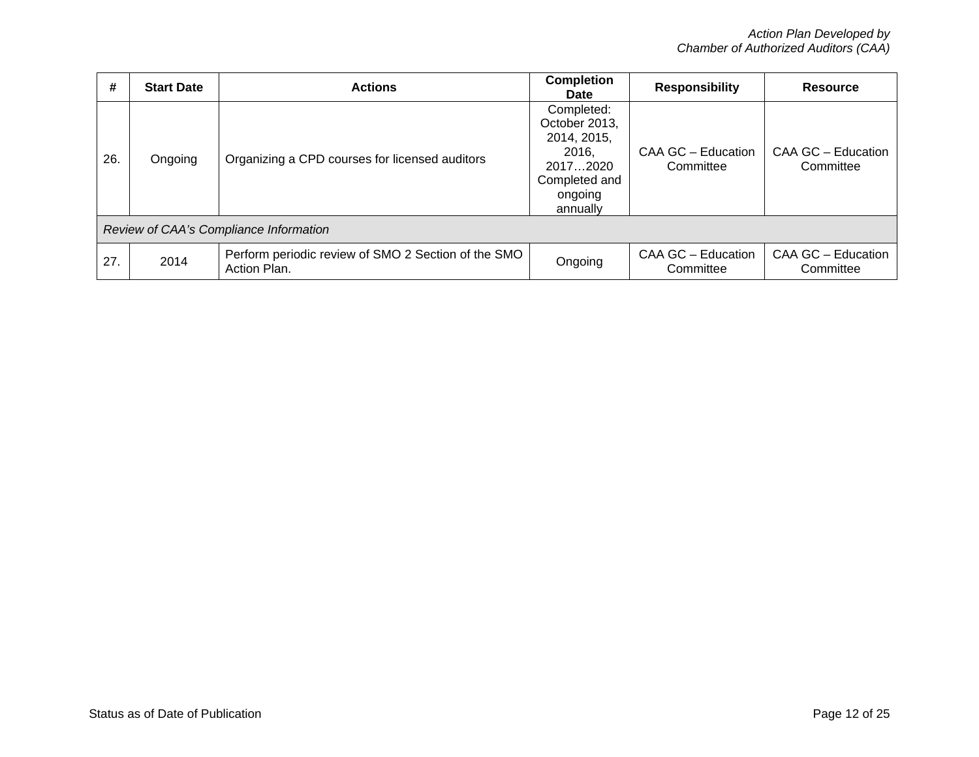| #   | <b>Start Date</b>                      | <b>Actions</b>                                                      | <b>Completion</b><br><b>Date</b>                                                                        | <b>Responsibility</b>           | <b>Resource</b>                 |  |  |  |  |
|-----|----------------------------------------|---------------------------------------------------------------------|---------------------------------------------------------------------------------------------------------|---------------------------------|---------------------------------|--|--|--|--|
| 26. | Ongoing                                | Organizing a CPD courses for licensed auditors                      | Completed:<br>October 2013,<br>2014, 2015,<br>2016.<br>20172020<br>Completed and<br>ongoing<br>annually | CAA GC - Education<br>Committee | CAA GC - Education<br>Committee |  |  |  |  |
|     | Review of CAA's Compliance Information |                                                                     |                                                                                                         |                                 |                                 |  |  |  |  |
| 27. | 2014                                   | Perform periodic review of SMO 2 Section of the SMO<br>Action Plan. | Ongoing                                                                                                 | CAA GC - Education<br>Committee | CAA GC - Education<br>Committee |  |  |  |  |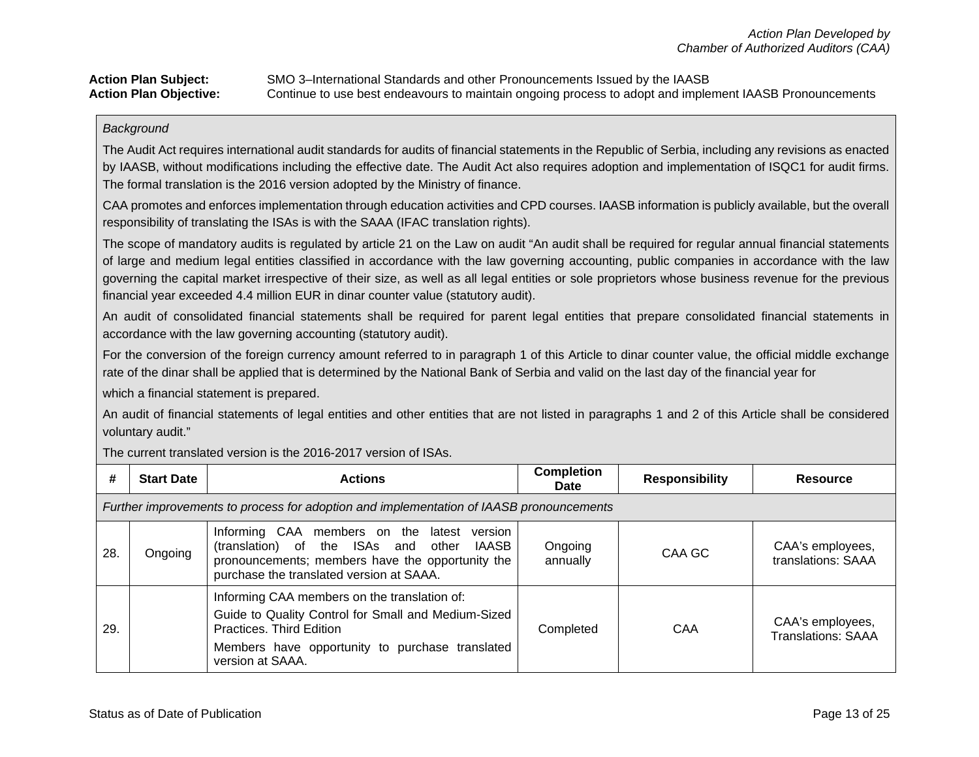## Action Plan Subject: SMO 3–International Standards and other Pronouncements Issued by the IAASB<br>**Action Plan Objective:** Continue to use best endeavours to maintain ongoing process to adopt and imple **Action Plan Objective:** Continue to use best endeavours to maintain ongoing process to adopt and implement IAASB Pronouncements

#### *Background*

The Audit Act requires international audit standards for audits of financial statements in the Republic of Serbia, including any revisions as enacted by IAASB, without modifications including the effective date. The Audit Act also requires adoption and implementation of ISQC1 for audit firms. The formal translation is the 2016 version adopted by the Ministry of finance.

CAA promotes and enforces implementation through education activities and CPD courses. IAASB information is publicly available, but the overall responsibility of translating the ISAs is with the SAAA (IFAC translation rights).

The scope of mandatory audits is regulated by article 21 on the Law on audit "An audit shall be required for regular annual financial statements of large and medium legal entities classified in accordance with the law governing accounting, public companies in accordance with the law governing the capital market irrespective of their size, as well as all legal entities or sole proprietors whose business revenue for the previous financial year exceeded 4.4 million EUR in dinar counter value (statutory audit).

An audit of consolidated financial statements shall be required for parent legal entities that prepare consolidated financial statements in accordance with the law governing accounting (statutory audit).

For the conversion of the foreign currency amount referred to in paragraph 1 of this Article to dinar counter value, the official middle exchange rate of the dinar shall be applied that is determined by the National Bank of Serbia and valid on the last day of the financial year for

which a financial statement is prepared.

An audit of financial statements of legal entities and other entities that are not listed in paragraphs 1 and 2 of this Article shall be considered voluntary audit."

The current translated version is the 2016-2017 version of ISAs.

| #   | <b>Start Date</b>                                                                       | <b>Actions</b>                                                                                                                                                                                         | <b>Completion</b><br><b>Date</b> | <b>Responsibility</b> | Resource                                      |  |  |  |
|-----|-----------------------------------------------------------------------------------------|--------------------------------------------------------------------------------------------------------------------------------------------------------------------------------------------------------|----------------------------------|-----------------------|-----------------------------------------------|--|--|--|
|     | Further improvements to process for adoption and implementation of IAASB pronouncements |                                                                                                                                                                                                        |                                  |                       |                                               |  |  |  |
| 28. | Ongoing                                                                                 | Informing CAA members on the latest version<br>(translation) of the ISAs and other IAASB<br>pronouncements; members have the opportunity the<br>purchase the translated version at SAAA.               | Ongoing<br>annually              | CAA GC                | CAA's employees,<br>translations: SAAA        |  |  |  |
| 29. |                                                                                         | Informing CAA members on the translation of:<br>Guide to Quality Control for Small and Medium-Sized<br>Practices. Third Edition<br>Members have opportunity to purchase translated<br>version at SAAA. | Completed                        | CAA                   | CAA's employees,<br><b>Translations: SAAA</b> |  |  |  |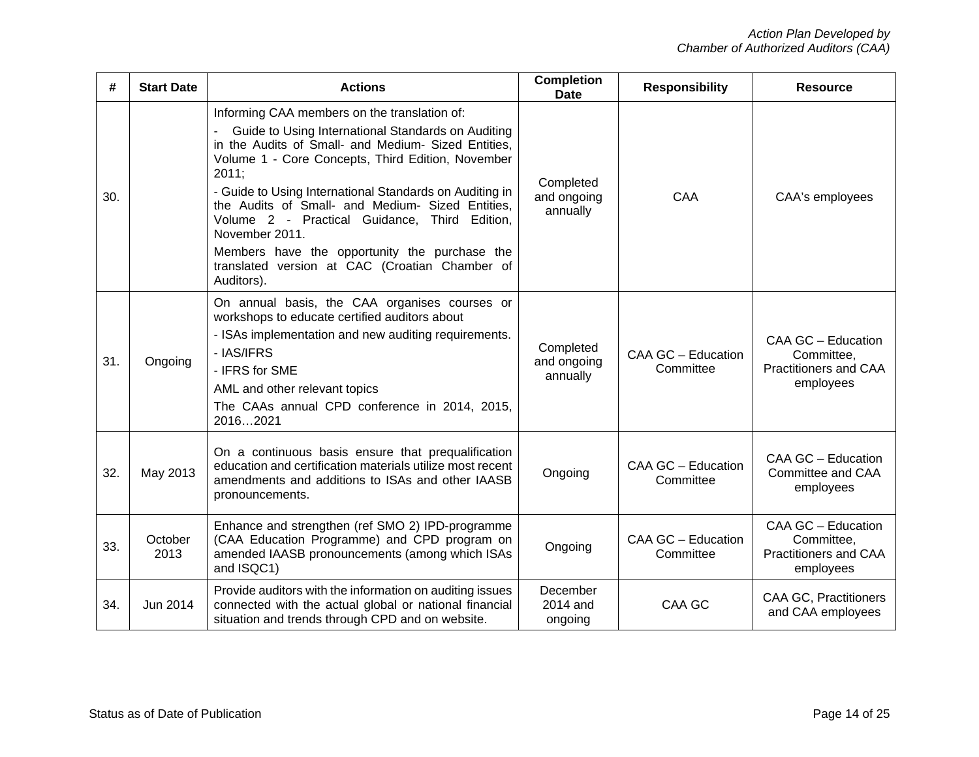| #   | <b>Start Date</b> | <b>Actions</b>                                                                                                                                                                                                                                                                                                                                                                                                                                                                                                             | <b>Completion</b><br><b>Date</b>     | <b>Responsibility</b>           | <b>Resource</b>                                                        |
|-----|-------------------|----------------------------------------------------------------------------------------------------------------------------------------------------------------------------------------------------------------------------------------------------------------------------------------------------------------------------------------------------------------------------------------------------------------------------------------------------------------------------------------------------------------------------|--------------------------------------|---------------------------------|------------------------------------------------------------------------|
| 30. |                   | Informing CAA members on the translation of:<br>Guide to Using International Standards on Auditing<br>in the Audits of Small- and Medium- Sized Entities,<br>Volume 1 - Core Concepts, Third Edition, November<br>2011;<br>- Guide to Using International Standards on Auditing in<br>the Audits of Small- and Medium- Sized Entities,<br>Volume 2 - Practical Guidance, Third Edition,<br>November 2011.<br>Members have the opportunity the purchase the<br>translated version at CAC (Croatian Chamber of<br>Auditors). | Completed<br>and ongoing<br>annually | CAA                             | CAA's employees                                                        |
| 31. | Ongoing           | On annual basis, the CAA organises courses or<br>workshops to educate certified auditors about<br>- ISAs implementation and new auditing requirements.<br>- IAS/IFRS<br>- IFRS for SME<br>AML and other relevant topics<br>The CAAs annual CPD conference in 2014, 2015,<br>20162021                                                                                                                                                                                                                                       | Completed<br>and ongoing<br>annually | CAA GC - Education<br>Committee | CAA GC - Education<br>Committee,<br>Practitioners and CAA<br>employees |
| 32. | May 2013          | On a continuous basis ensure that prequalification<br>education and certification materials utilize most recent<br>amendments and additions to ISAs and other IAASB<br>pronouncements.                                                                                                                                                                                                                                                                                                                                     | Ongoing                              | CAA GC - Education<br>Committee | CAA GC - Education<br>Committee and CAA<br>employees                   |
| 33. | October<br>2013   | Enhance and strengthen (ref SMO 2) IPD-programme<br>(CAA Education Programme) and CPD program on<br>amended IAASB pronouncements (among which ISAs<br>and ISQC1)                                                                                                                                                                                                                                                                                                                                                           | Ongoing                              | CAA GC - Education<br>Committee | CAA GC - Education<br>Committee,<br>Practitioners and CAA<br>employees |
| 34. | Jun 2014          | Provide auditors with the information on auditing issues<br>connected with the actual global or national financial<br>situation and trends through CPD and on website.                                                                                                                                                                                                                                                                                                                                                     | December<br>2014 and<br>ongoing      | CAA GC                          | <b>CAA GC, Practitioners</b><br>and CAA employees                      |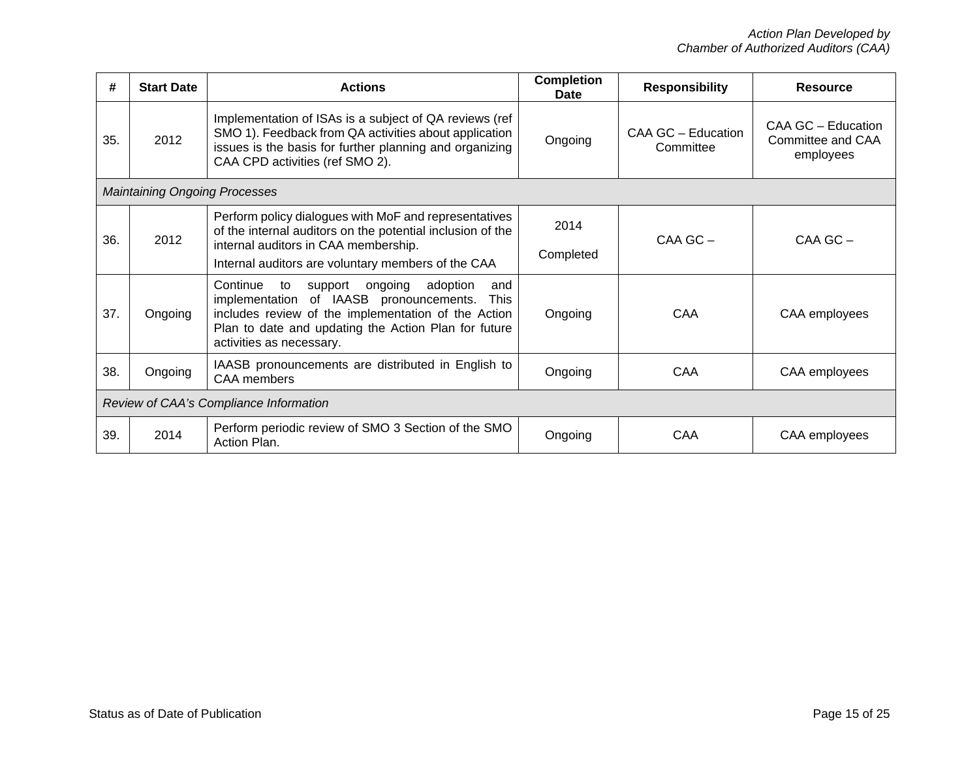| #   | <b>Start Date</b>                      | <b>Actions</b>                                                                                                                                                                                                                                               | <b>Completion</b><br>Date | <b>Responsibility</b>           | <b>Resource</b>                                      |
|-----|----------------------------------------|--------------------------------------------------------------------------------------------------------------------------------------------------------------------------------------------------------------------------------------------------------------|---------------------------|---------------------------------|------------------------------------------------------|
| 35. | 2012                                   | Implementation of ISAs is a subject of QA reviews (ref<br>SMO 1). Feedback from QA activities about application<br>issues is the basis for further planning and organizing<br>CAA CPD activities (ref SMO 2).                                                | Ongoing                   | CAA GC - Education<br>Committee | CAA GC - Education<br>Committee and CAA<br>employees |
|     | <b>Maintaining Ongoing Processes</b>   |                                                                                                                                                                                                                                                              |                           |                                 |                                                      |
| 36. | 2012                                   | Perform policy dialogues with MoF and representatives<br>of the internal auditors on the potential inclusion of the<br>internal auditors in CAA membership.<br>Internal auditors are voluntary members of the CAA                                            | 2014<br>Completed         | $CAA$ GC $-$                    | CAA GC-                                              |
| 37. | Ongoing                                | Continue<br>ongoing<br>adoption<br>to<br>support<br>and<br>implementation of IAASB pronouncements.<br><b>This</b><br>includes review of the implementation of the Action<br>Plan to date and updating the Action Plan for future<br>activities as necessary. | Ongoing                   | CAA                             | CAA employees                                        |
| 38. | Ongoing                                | IAASB pronouncements are distributed in English to<br><b>CAA</b> members                                                                                                                                                                                     | Ongoing                   | CAA                             | CAA employees                                        |
|     | Review of CAA's Compliance Information |                                                                                                                                                                                                                                                              |                           |                                 |                                                      |
| 39. | 2014                                   | Perform periodic review of SMO 3 Section of the SMO<br>Action Plan.                                                                                                                                                                                          | Ongoing                   | CAA                             | CAA employees                                        |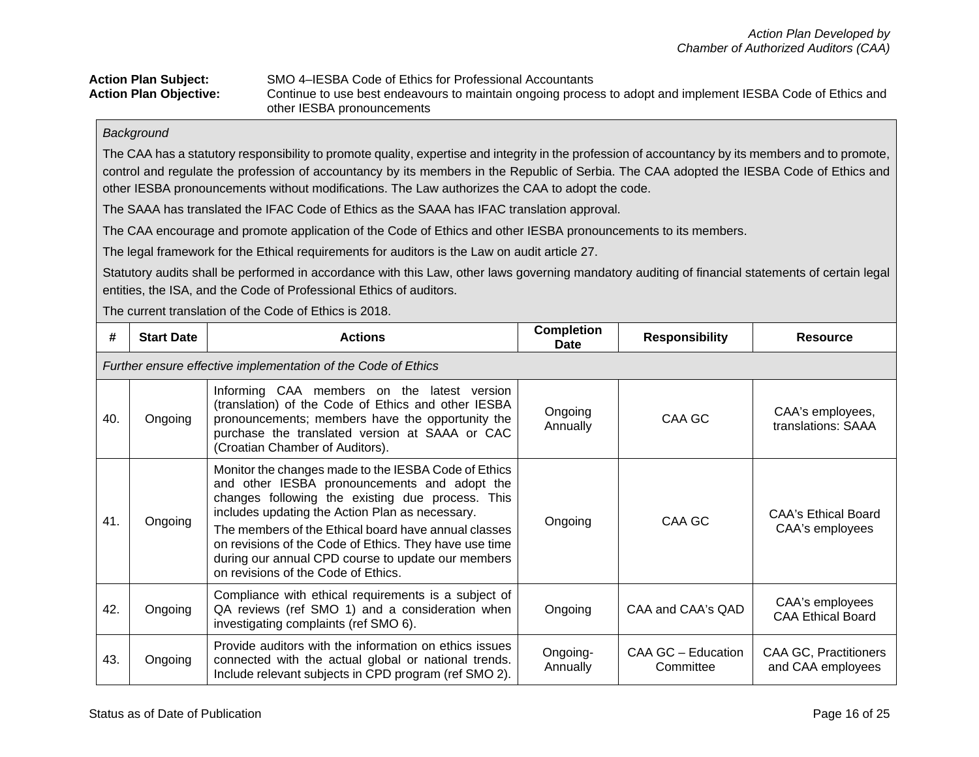#### Action Plan Subject: SMO 4–IESBA Code of Ethics for Professional Accountants<br>**Action Plan Objective:** Continue to use best endeavours to maintain ongoing proces Continue to use best endeavours to maintain ongoing process to adopt and implement IESBA Code of Ethics and other IESBA pronouncements

#### *Background*

The CAA has a statutory responsibility to promote quality, expertise and integrity in the profession of accountancy by its members and to promote, control and regulate the profession of accountancy by its members in the Republic of Serbia. The CAA adopted the IESBA Code of Ethics and other IESBA pronouncements without modifications. The Law authorizes the CAA to adopt the code.

The SAAA has translated the IFAC Code of Ethics as the SAAA has IFAC translation approval.

The CAA encourage and promote application of the Code of Ethics and other IESBA pronouncements to its members.

The legal framework for the Ethical requirements for auditors is the Law on audit article 27.

Statutory audits shall be performed in accordance with this Law, other laws governing mandatory auditing of financial statements of certain legal entities, the ISA, and the Code of Professional Ethics of auditors.

The current translation of the Code of Ethics is 2018.

| #   | <b>Start Date</b>                                             | <b>Actions</b>                                                                                                                                                                                                                                                                                                                                                                                                             | <b>Completion</b><br>Date | <b>Responsibility</b>           | <b>Resource</b>                                   |  |  |  |
|-----|---------------------------------------------------------------|----------------------------------------------------------------------------------------------------------------------------------------------------------------------------------------------------------------------------------------------------------------------------------------------------------------------------------------------------------------------------------------------------------------------------|---------------------------|---------------------------------|---------------------------------------------------|--|--|--|
|     | Further ensure effective implementation of the Code of Ethics |                                                                                                                                                                                                                                                                                                                                                                                                                            |                           |                                 |                                                   |  |  |  |
| 40. | Ongoing                                                       | Informing CAA members on the latest version<br>(translation) of the Code of Ethics and other IESBA<br>pronouncements; members have the opportunity the<br>purchase the translated version at SAAA or CAC<br>(Croatian Chamber of Auditors).                                                                                                                                                                                | Ongoing<br>Annually       | CAA GC                          | CAA's employees,<br>translations: SAAA            |  |  |  |
| 41. | Ongoing                                                       | Monitor the changes made to the IESBA Code of Ethics<br>and other IESBA pronouncements and adopt the<br>changes following the existing due process. This<br>includes updating the Action Plan as necessary.<br>The members of the Ethical board have annual classes<br>on revisions of the Code of Ethics. They have use time<br>during our annual CPD course to update our members<br>on revisions of the Code of Ethics. | Ongoing                   | CAA GC                          | CAA's Ethical Board<br>CAA's employees            |  |  |  |
| 42. | Ongoing                                                       | Compliance with ethical requirements is a subject of<br>QA reviews (ref SMO 1) and a consideration when<br>investigating complaints (ref SMO 6).                                                                                                                                                                                                                                                                           | Ongoing                   | CAA and CAA's QAD               | CAA's employees<br><b>CAA Ethical Board</b>       |  |  |  |
| 43. | Ongoing                                                       | Provide auditors with the information on ethics issues<br>connected with the actual global or national trends.<br>Include relevant subjects in CPD program (ref SMO 2).                                                                                                                                                                                                                                                    | Ongoing-<br>Annually      | CAA GC - Education<br>Committee | <b>CAA GC, Practitioners</b><br>and CAA employees |  |  |  |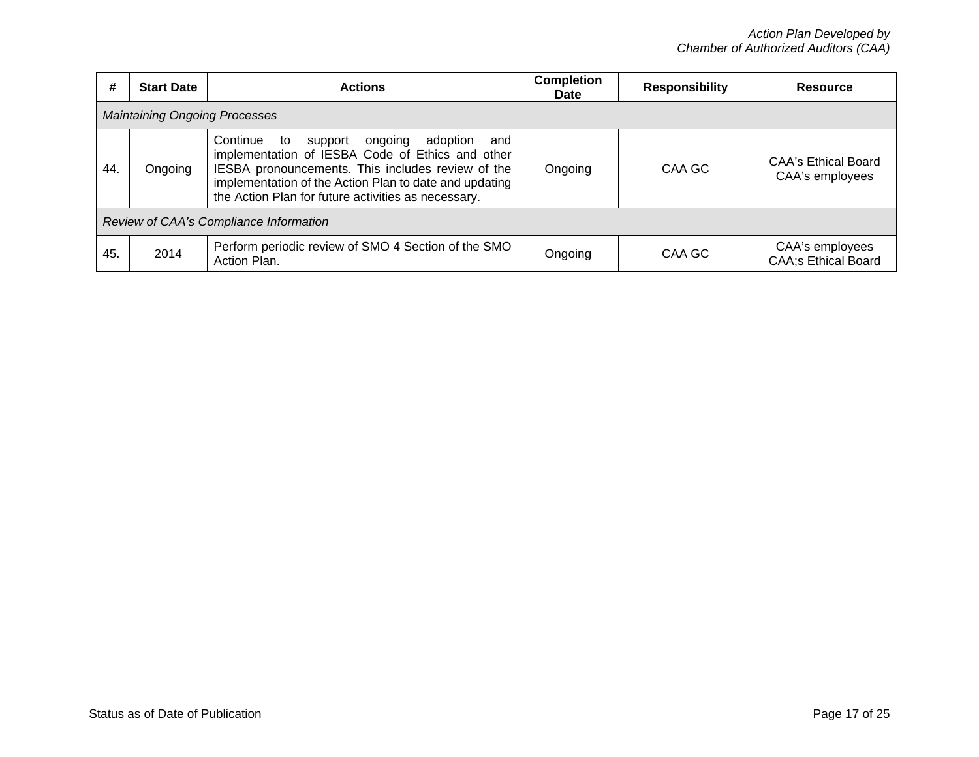| #   | <b>Start Date</b>                      | <b>Actions</b>                                                                                                                                                                                                                                                                    | <b>Completion</b><br><b>Date</b> | <b>Responsibility</b> | <b>Resource</b>                               |  |  |  |  |
|-----|----------------------------------------|-----------------------------------------------------------------------------------------------------------------------------------------------------------------------------------------------------------------------------------------------------------------------------------|----------------------------------|-----------------------|-----------------------------------------------|--|--|--|--|
|     | <b>Maintaining Ongoing Processes</b>   |                                                                                                                                                                                                                                                                                   |                                  |                       |                                               |  |  |  |  |
| 44  | Ongoing                                | Continue<br>ongoing<br>adoption<br>support<br>to<br>and<br>implementation of IESBA Code of Ethics and other<br>IESBA pronouncements. This includes review of the<br>implementation of the Action Plan to date and updating<br>the Action Plan for future activities as necessary. |                                  | CAA GC                | <b>CAA's Ethical Board</b><br>CAA's employees |  |  |  |  |
|     | Review of CAA's Compliance Information |                                                                                                                                                                                                                                                                                   |                                  |                       |                                               |  |  |  |  |
| 45. | 2014                                   | Perform periodic review of SMO 4 Section of the SMO<br>Action Plan.                                                                                                                                                                                                               | Ongoing                          | CAA GC                | CAA's employees<br><b>CAA;s Ethical Board</b> |  |  |  |  |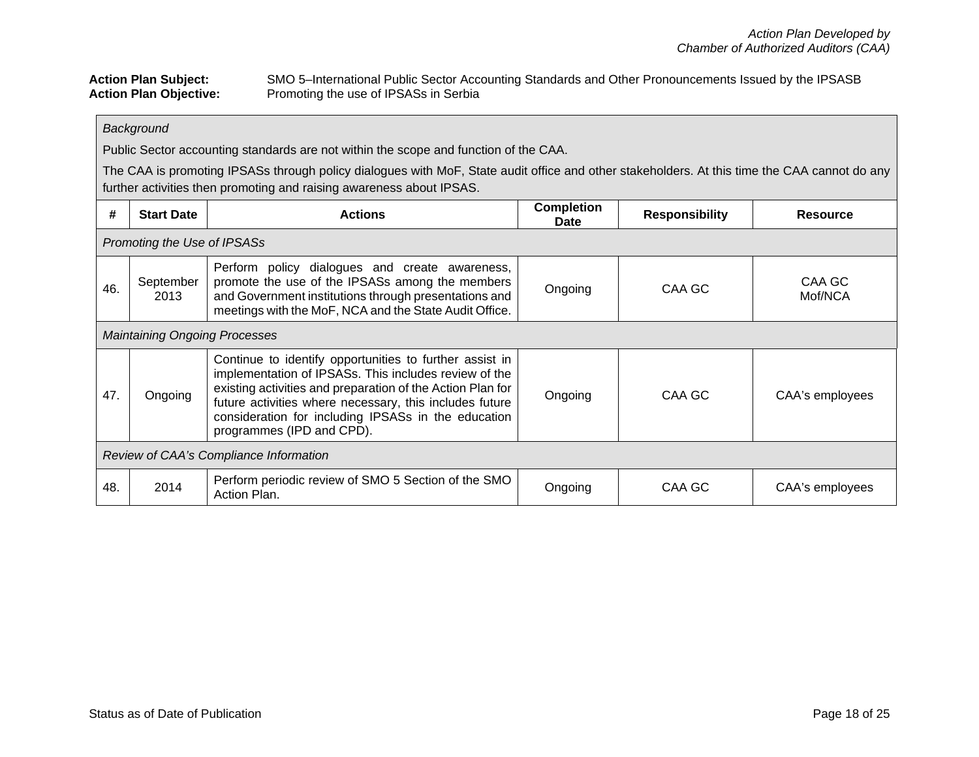## Action Plan Subject: SMO 5–International Public Sector Accounting Standards and Other Pronouncements Issued by the IPSASB<br>Action Plan Objective: Promoting the use of IPSASs in Serbia Promoting the use of IPSASs in Serbia

## *Background*

Public Sector accounting standards are not within the scope and function of the CAA.

The CAA is promoting IPSASs through policy dialogues with MoF, State audit office and other stakeholders. At this time the CAA cannot do any further activities then promoting and raising awareness about IPSAS.

| #   | <b>Start Date</b>                      | <b>Actions</b>                                                                                                                                                                                                                                                                                                                | <b>Completion</b><br>Date | <b>Responsibility</b> | <b>Resource</b>   |  |  |
|-----|----------------------------------------|-------------------------------------------------------------------------------------------------------------------------------------------------------------------------------------------------------------------------------------------------------------------------------------------------------------------------------|---------------------------|-----------------------|-------------------|--|--|
|     | Promoting the Use of IPSASs            |                                                                                                                                                                                                                                                                                                                               |                           |                       |                   |  |  |
| 46. | September<br>2013                      | Perform policy dialogues and create awareness,<br>promote the use of the IPSASs among the members<br>and Government institutions through presentations and<br>meetings with the MoF, NCA and the State Audit Office.                                                                                                          | Ongoing                   | CAA GC                | CAA GC<br>Mof/NCA |  |  |
|     | <b>Maintaining Ongoing Processes</b>   |                                                                                                                                                                                                                                                                                                                               |                           |                       |                   |  |  |
| 47. | Ongoing                                | Continue to identify opportunities to further assist in<br>implementation of IPSASs. This includes review of the<br>existing activities and preparation of the Action Plan for<br>future activities where necessary, this includes future<br>consideration for including IPSASs in the education<br>programmes (IPD and CPD). | Ongoing                   | CAA GC                | CAA's employees   |  |  |
|     | Review of CAA's Compliance Information |                                                                                                                                                                                                                                                                                                                               |                           |                       |                   |  |  |
| 48. | 2014                                   | Perform periodic review of SMO 5 Section of the SMO<br>Action Plan.                                                                                                                                                                                                                                                           | Ongoing                   | CAA GC                | CAA's employees   |  |  |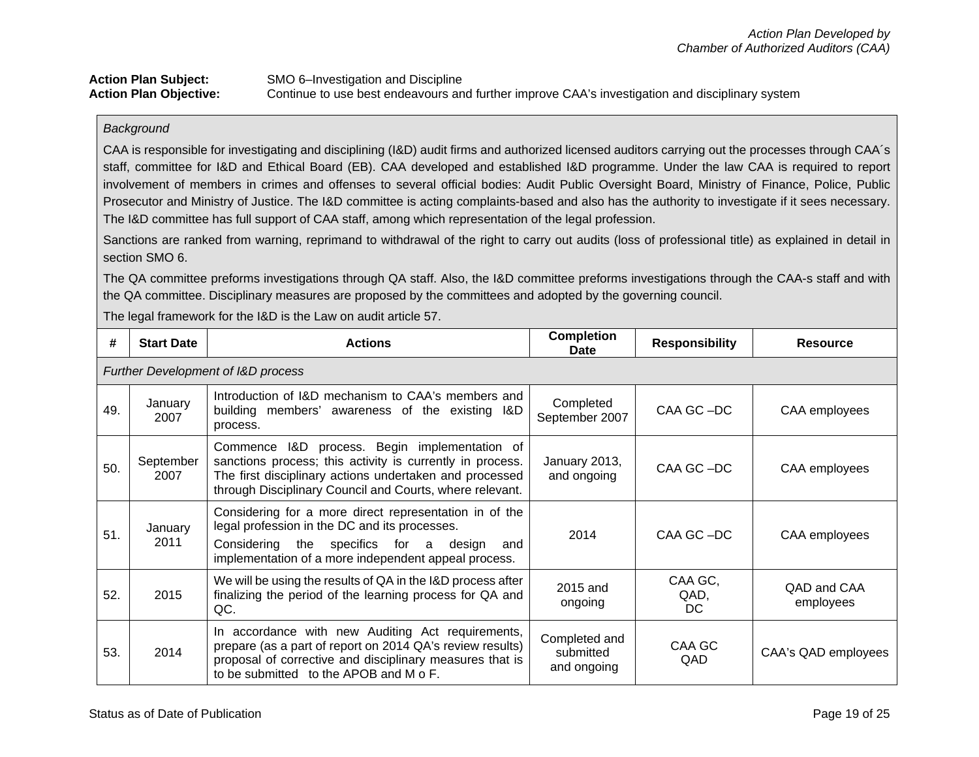## **Action Plan Subject:** SMO 6–Investigation and Discipline<br> **Action Plan Objective:** Continue to use best endeavours an Continue to use best endeavours and further improve CAA's investigation and disciplinary system

#### *Background*

CAA is responsible for investigating and disciplining (I&D) audit firms and authorized licensed auditors carrying out the processes through CAA´s staff, committee for I&D and Ethical Board (EB). CAA developed and established I&D programme. Under the law CAA is required to report involvement of members in crimes and offenses to several official bodies: Audit Public Oversight Board, Ministry of Finance, Police, Public Prosecutor and Ministry of Justice. The I&D committee is acting complaints-based and also has the authority to investigate if it sees necessary. The I&D committee has full support of CAA staff, among which representation of the legal profession.

Sanctions are ranked from warning, reprimand to withdrawal of the right to carry out audits (loss of professional title) as explained in detail in section SMO 6.

The QA committee preforms investigations through QA staff. Also, the I&D committee preforms investigations through the CAA-s staff and with the QA committee. Disciplinary measures are proposed by the committees and adopted by the governing council.

The legal framework for the I&D is the Law on audit article 57.

| #   | <b>Start Date</b>                             | <b>Actions</b>                                                                                                                                                                                                                    | <b>Completion</b><br>Date                 | <b>Responsibility</b>  | <b>Resource</b>          |  |  |  |
|-----|-----------------------------------------------|-----------------------------------------------------------------------------------------------------------------------------------------------------------------------------------------------------------------------------------|-------------------------------------------|------------------------|--------------------------|--|--|--|
|     | <b>Further Development of I&amp;D process</b> |                                                                                                                                                                                                                                   |                                           |                        |                          |  |  |  |
| 49. | January<br>2007                               | Introduction of I&D mechanism to CAA's members and<br>building members' awareness of the existing I&D<br>process.                                                                                                                 | Completed<br>September 2007               | CAA GC-DC              | CAA employees            |  |  |  |
| 50. | September<br>2007                             | Commence I&D process. Begin implementation of<br>sanctions process; this activity is currently in process.<br>The first disciplinary actions undertaken and processed<br>through Disciplinary Council and Courts, where relevant. | January 2013,<br>and ongoing              | CAA GC-DC              | CAA employees            |  |  |  |
| 51. | January<br>2011                               | Considering for a more direct representation in of the<br>legal profession in the DC and its processes.<br>Considering the specifics for a design<br>and<br>implementation of a more independent appeal process.                  | 2014                                      | CAA GC-DC              | CAA employees            |  |  |  |
| 52. | 2015                                          | We will be using the results of QA in the I&D process after<br>finalizing the period of the learning process for QA and<br>QC.                                                                                                    |                                           | CAA GC,<br>QAD,<br>DC. | QAD and CAA<br>employees |  |  |  |
| 53. | 2014                                          | In accordance with new Auditing Act requirements,<br>prepare (as a part of report on 2014 QA's review results)<br>proposal of corrective and disciplinary measures that is<br>to be submitted to the APOB and M o F.              | Completed and<br>submitted<br>and ongoing | CAA GC<br>QAD.         | CAA's QAD employees      |  |  |  |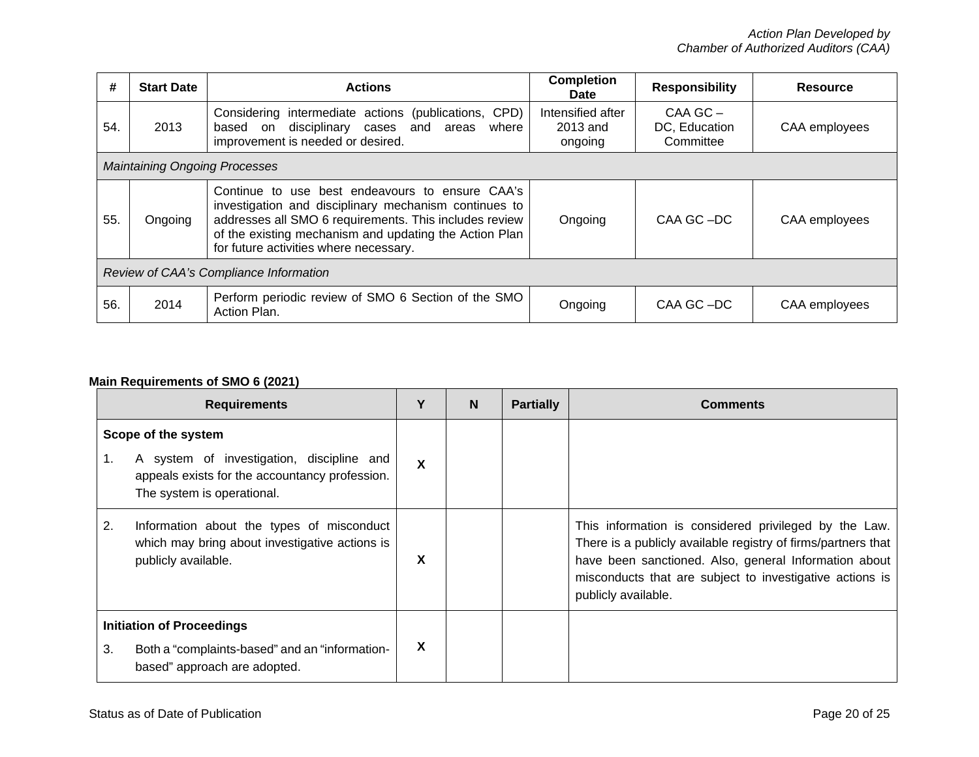| #   | <b>Start Date</b>                      | <b>Actions</b>                                                                                                                                                                                                                                                         | <b>Completion</b><br><b>Date</b>         | <b>Responsibility</b>                      | <b>Resource</b> |  |  |
|-----|----------------------------------------|------------------------------------------------------------------------------------------------------------------------------------------------------------------------------------------------------------------------------------------------------------------------|------------------------------------------|--------------------------------------------|-----------------|--|--|
| 54. | 2013                                   | Considering intermediate actions (publications, CPD)<br>based on disciplinary cases and areas<br>where<br>improvement is needed or desired.                                                                                                                            | Intensified after<br>2013 and<br>ongoing | $CAA$ GC $-$<br>DC, Education<br>Committee | CAA employees   |  |  |
|     | <b>Maintaining Ongoing Processes</b>   |                                                                                                                                                                                                                                                                        |                                          |                                            |                 |  |  |
| 55. | Ongoing                                | Continue to use best endeavours to ensure CAA's<br>investigation and disciplinary mechanism continues to<br>addresses all SMO 6 requirements. This includes review<br>of the existing mechanism and updating the Action Plan<br>for future activities where necessary. | Ongoing                                  | CAA GC-DC                                  | CAA employees   |  |  |
|     | Review of CAA's Compliance Information |                                                                                                                                                                                                                                                                        |                                          |                                            |                 |  |  |
| 56. | 2014                                   | Perform periodic review of SMO 6 Section of the SMO<br>Action Plan.                                                                                                                                                                                                    | Ongoing                                  | CAA GC-DC                                  | CAA employees   |  |  |

# **Main Requirements of SMO 6 (2021)**

| <b>Requirements</b>                                                                                                      |                                                                                                                                                  | Υ | N | <b>Partially</b> | <b>Comments</b>                                                                                                                                                                                                                                                    |
|--------------------------------------------------------------------------------------------------------------------------|--------------------------------------------------------------------------------------------------------------------------------------------------|---|---|------------------|--------------------------------------------------------------------------------------------------------------------------------------------------------------------------------------------------------------------------------------------------------------------|
| 1.                                                                                                                       | Scope of the system<br>A system of investigation, discipline and<br>appeals exists for the accountancy profession.<br>The system is operational. | X |   |                  |                                                                                                                                                                                                                                                                    |
| 2.                                                                                                                       | Information about the types of misconduct<br>which may bring about investigative actions is<br>publicly available.                               | X |   |                  | This information is considered privileged by the Law.<br>There is a publicly available registry of firms/partners that<br>have been sanctioned. Also, general Information about<br>misconducts that are subject to investigative actions is<br>publicly available. |
| <b>Initiation of Proceedings</b><br>3.<br>Both a "complaints-based" and an "information-<br>based" approach are adopted. |                                                                                                                                                  | X |   |                  |                                                                                                                                                                                                                                                                    |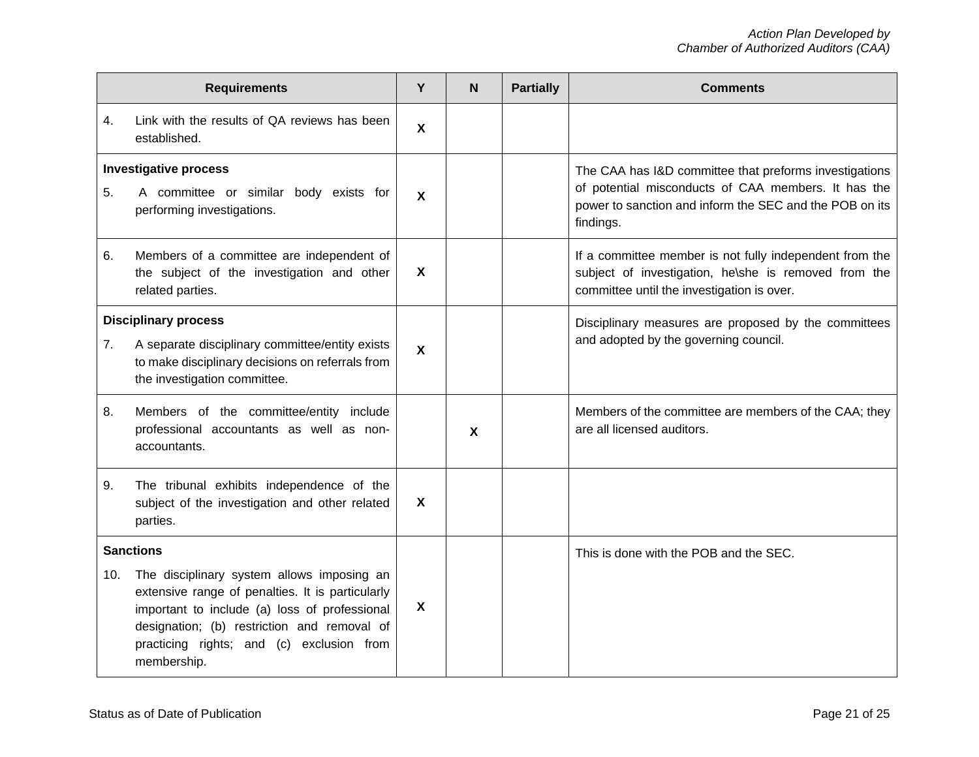| <b>Requirements</b> |                                                                                                                                                                                                                                                            |                           | N                         | <b>Partially</b> | <b>Comments</b>                                                                                                                                                                       |
|---------------------|------------------------------------------------------------------------------------------------------------------------------------------------------------------------------------------------------------------------------------------------------------|---------------------------|---------------------------|------------------|---------------------------------------------------------------------------------------------------------------------------------------------------------------------------------------|
| 4.                  | Link with the results of QA reviews has been<br>established.                                                                                                                                                                                               | $\boldsymbol{\mathsf{X}}$ |                           |                  |                                                                                                                                                                                       |
| 5.                  | <b>Investigative process</b><br>A committee or similar body exists for<br>performing investigations.                                                                                                                                                       | $\boldsymbol{\mathsf{X}}$ |                           |                  | The CAA has I&D committee that preforms investigations<br>of potential misconducts of CAA members. It has the<br>power to sanction and inform the SEC and the POB on its<br>findings. |
| 6.                  | Members of a committee are independent of<br>the subject of the investigation and other<br>related parties.                                                                                                                                                | $\boldsymbol{\mathsf{X}}$ |                           |                  | If a committee member is not fully independent from the<br>subject of investigation, he\she is removed from the<br>committee until the investigation is over.                         |
| 7.                  | <b>Disciplinary process</b><br>A separate disciplinary committee/entity exists<br>to make disciplinary decisions on referrals from<br>the investigation committee.                                                                                         | $\boldsymbol{\mathsf{X}}$ |                           |                  | Disciplinary measures are proposed by the committees<br>and adopted by the governing council.                                                                                         |
| 8.                  | Members of the committee/entity include<br>professional accountants as well as non-<br>accountants.                                                                                                                                                        |                           | $\boldsymbol{\mathsf{X}}$ |                  | Members of the committee are members of the CAA; they<br>are all licensed auditors.                                                                                                   |
| 9.                  | The tribunal exhibits independence of the<br>subject of the investigation and other related<br>parties.                                                                                                                                                    | X                         |                           |                  |                                                                                                                                                                                       |
|                     | <b>Sanctions</b>                                                                                                                                                                                                                                           |                           |                           |                  | This is done with the POB and the SEC.                                                                                                                                                |
| 10.                 | The disciplinary system allows imposing an<br>extensive range of penalties. It is particularly<br>important to include (a) loss of professional<br>designation; (b) restriction and removal of<br>practicing rights; and (c) exclusion from<br>membership. | X                         |                           |                  |                                                                                                                                                                                       |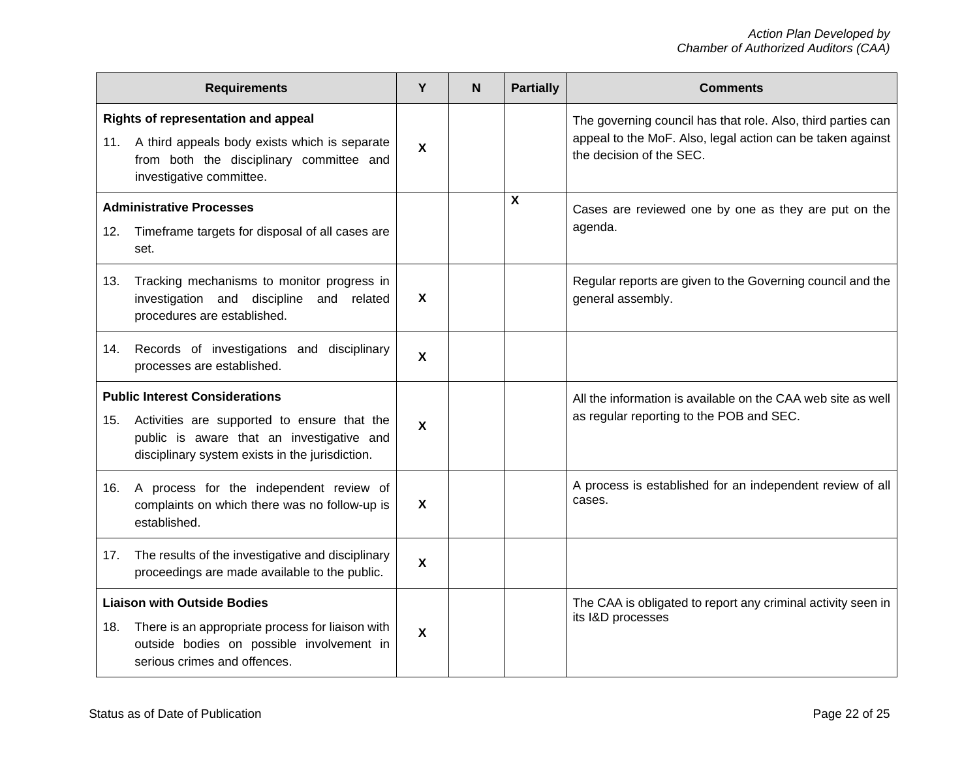| <b>Requirements</b> |                                                                                                                                                                                      |                           | N | <b>Partially</b> | <b>Comments</b>                                                                                                                                        |
|---------------------|--------------------------------------------------------------------------------------------------------------------------------------------------------------------------------------|---------------------------|---|------------------|--------------------------------------------------------------------------------------------------------------------------------------------------------|
|                     | Rights of representation and appeal<br>11. A third appeals body exists which is separate<br>from both the disciplinary committee and<br>investigative committee.                     | $\mathbf{x}$              |   |                  | The governing council has that role. Also, third parties can<br>appeal to the MoF. Also, legal action can be taken against<br>the decision of the SEC. |
| 12.                 | <b>Administrative Processes</b><br>Timeframe targets for disposal of all cases are<br>set.                                                                                           |                           |   | $\mathbf{x}$     | Cases are reviewed one by one as they are put on the<br>agenda.                                                                                        |
| 13.                 | Tracking mechanisms to monitor progress in<br>investigation and discipline<br>and related<br>procedures are established.                                                             | $\boldsymbol{\mathsf{X}}$ |   |                  | Regular reports are given to the Governing council and the<br>general assembly.                                                                        |
| 14.                 | Records of investigations and disciplinary<br>processes are established.                                                                                                             | $\boldsymbol{\mathsf{X}}$ |   |                  |                                                                                                                                                        |
| 15.                 | <b>Public Interest Considerations</b><br>Activities are supported to ensure that the<br>public is aware that an investigative and<br>disciplinary system exists in the jurisdiction. | X                         |   |                  | All the information is available on the CAA web site as well<br>as regular reporting to the POB and SEC.                                               |
| 16.                 | A process for the independent review of<br>complaints on which there was no follow-up is<br>established.                                                                             | X                         |   |                  | A process is established for an independent review of all<br>cases.                                                                                    |
| 17.                 | The results of the investigative and disciplinary<br>proceedings are made available to the public.                                                                                   | $\mathbf{x}$              |   |                  |                                                                                                                                                        |
| 18.                 | <b>Liaison with Outside Bodies</b><br>There is an appropriate process for liaison with<br>outside bodies on possible involvement in<br>serious crimes and offences.                  | X                         |   |                  | The CAA is obligated to report any criminal activity seen in<br>its I&D processes                                                                      |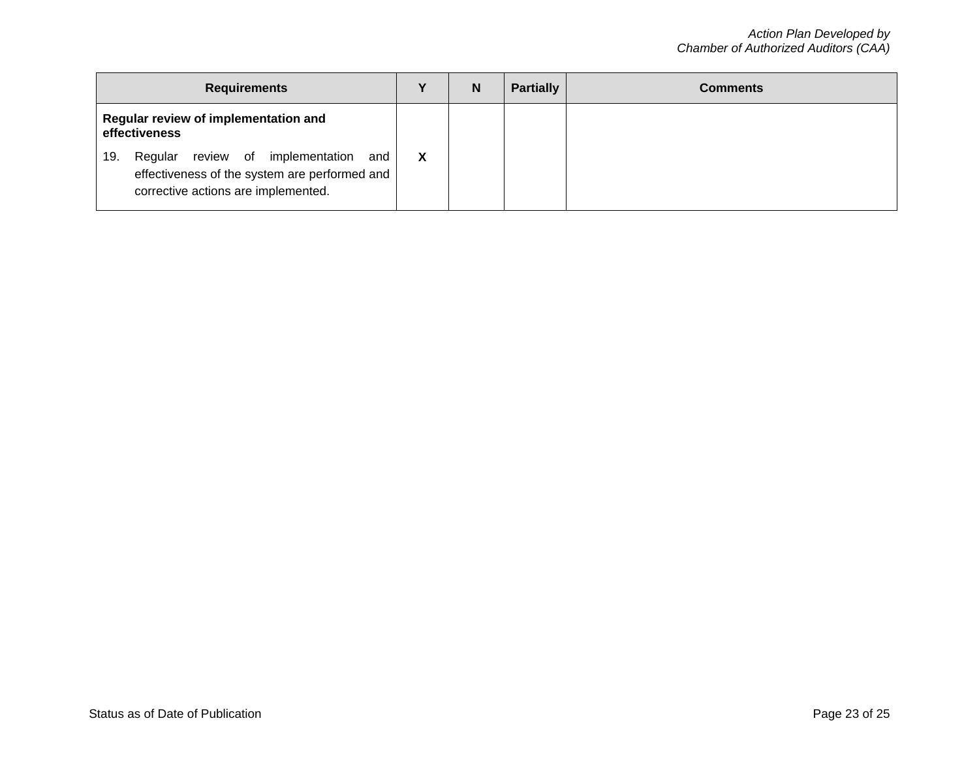| <b>Requirements</b>                                   |                                                                                                                                           |   | N | <b>Partially</b> | <b>Comments</b> |
|-------------------------------------------------------|-------------------------------------------------------------------------------------------------------------------------------------------|---|---|------------------|-----------------|
| Regular review of implementation and<br>effectiveness |                                                                                                                                           |   |   |                  |                 |
|                                                       | review of implementation<br>Regular<br>and<br>19.<br>effectiveness of the system are performed and<br>corrective actions are implemented. | X |   |                  |                 |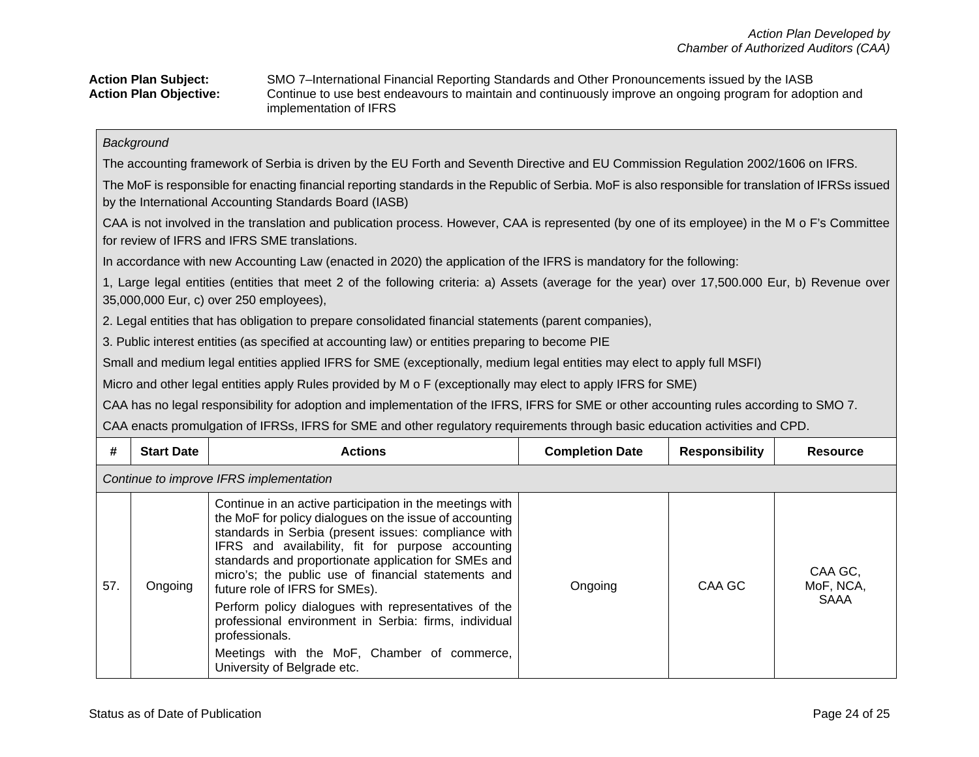|  | <b>Action Plan Subject:</b>   |
|--|-------------------------------|
|  | <b>Action Plan Objective:</b> |

**Action Plan Subject:** SMO 7–International Financial Reporting Standards and Other Pronouncements issued by the IASB Continue to use best endeavours to maintain and continuously improve an ongoing program for adoption and implementation of IFRS

### *Background*

The accounting framework of Serbia is driven by the EU Forth and Seventh Directive and EU Commission Regulation 2002/1606 on IFRS.

The MoF is responsible for enacting financial reporting standards in the Republic of Serbia. MoF is also responsible for translation of IFRSs issued by the International Accounting Standards Board (IASB)

CAA is not involved in the translation and publication process. However, CAA is represented (by one of its employee) in the M o F's Committee for review of IFRS and IFRS SME translations.

In accordance with new Accounting Law (enacted in 2020) the application of the IFRS is mandatory for the following:

1, Large legal entities (entities that meet 2 of the following criteria: a) Assets (average for the year) over 17,500.000 Eur, b) Revenue over 35,000,000 Eur, c) over 250 employees),

2. Legal entities that has obligation to prepare consolidated financial statements (parent companies),

3. Public interest entities (as specified at accounting law) or entities preparing to become PIE

Small and medium legal entities applied IFRS for SME (exceptionally, medium legal entities may elect to apply full MSFI)

Micro and other legal entities apply Rules provided by M o F (exceptionally may elect to apply IFRS for SME)

CAA has no legal responsibility for adoption and implementation of the IFRS, IFRS for SME or other accounting rules according to SMO 7.

CAA enacts promulgation of IFRSs, IFRS for SME and other regulatory requirements through basic education activities and CPD.

| #   | <b>Start Date</b>                       | <b>Actions</b>                                                                                                                                                                                                                                                                                                                                                                                                                                                                                                                                                                                     | <b>Completion Date</b> | <b>Responsibility</b> | <b>Resource</b>              |  |  |  |
|-----|-----------------------------------------|----------------------------------------------------------------------------------------------------------------------------------------------------------------------------------------------------------------------------------------------------------------------------------------------------------------------------------------------------------------------------------------------------------------------------------------------------------------------------------------------------------------------------------------------------------------------------------------------------|------------------------|-----------------------|------------------------------|--|--|--|
|     | Continue to improve IFRS implementation |                                                                                                                                                                                                                                                                                                                                                                                                                                                                                                                                                                                                    |                        |                       |                              |  |  |  |
| 57. | Ongoing                                 | Continue in an active participation in the meetings with<br>the MoF for policy dialogues on the issue of accounting<br>standards in Serbia (present issues: compliance with<br>IFRS and availability, fit for purpose accounting<br>standards and proportionate application for SMEs and<br>micro's; the public use of financial statements and<br>future role of IFRS for SMEs).<br>Perform policy dialogues with representatives of the<br>professional environment in Serbia: firms, individual<br>professionals.<br>Meetings with the MoF, Chamber of commerce,<br>University of Belgrade etc. | Ongoing                | CAA GC                | CAA GC,<br>MoF, NCA,<br>SAAA |  |  |  |